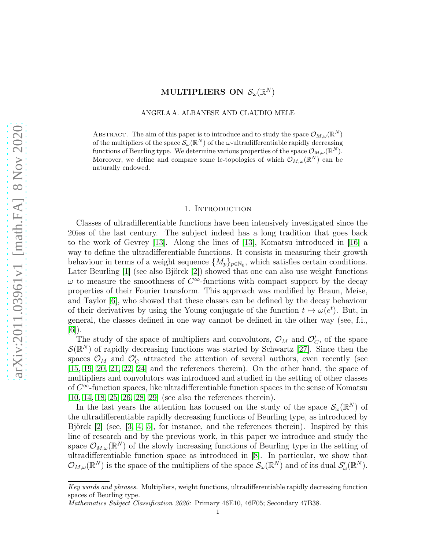# MULTIPLIERS ON  $\mathcal{S}_{\omega}(\mathbb{R}^N)$

ANGELA A. ALBANESE AND CLAUDIO MELE

ABSTRACT. The aim of this paper is to introduce and to study the space  $\mathcal{O}_{M,\omega}(\mathbb{R}^N)$ of the multipliers of the space  $\mathcal{S}_{\omega}(\mathbb{R}^N)$  of the  $\omega$ -ultradifferentiable rapidly decreasing functions of Beurling type. We determine various properties of the space  $\mathcal{O}_{M,\omega}(\mathbb{R}^N)$ . Moreover, we define and compare some lc-topologies of which  $\mathcal{O}_{M,\omega}(\mathbb{R}^N)$  can be naturally endowed.

#### 1. Introduction

Classes of ultradifferentiable functions have been intensively investigated since the 20ies of the last century. The subject indeed has a long tradition that goes back to the work of Gevrey [\[13\]](#page-30-0). Along the lines of [\[13\]](#page-30-0), Komatsu introduced in [\[16\]](#page-30-1) a way to define the ultradifferentiable functions. It consists in measuring their growth behaviour in terms of a weight sequence  $\{M_p\}_{p\in\mathbb{N}_0}$ , which satisfies certain conditions. Later Beurling [\[1\]](#page-29-0) (see also Björck [\[2\]](#page-29-1)) showed that one can also use weight functions  $\omega$  to measure the smoothness of  $C^{\infty}$ -functions with compact support by the decay properties of their Fourier transform. This approach was modified by Braun, Meise, and Taylor [\[6\]](#page-29-2), who showed that these classes can be defined by the decay behaviour of their derivatives by using the Young conjugate of the function  $t \mapsto \omega(e^t)$ . But, in general, the classes defined in one way cannot be defined in the other way (see, f.i.,  $|6|$ ).

The study of the space of multipliers and convolutors,  $\mathcal{O}_M$  and  $\mathcal{O}'_C$ , of the space  $\mathcal{S}(\mathbb{R}^N)$  of rapidly decreasing functions was started by Schwartz [\[27\]](#page-30-2). Since then the spaces  $\mathcal{O}_M$  and  $\mathcal{O}'_C$  attracted the attention of several authors, even recently (see [\[15,](#page-30-3) [19,](#page-30-4) [20,](#page-30-5) [21,](#page-30-6) [22,](#page-30-7) [24\]](#page-30-8) and the references therein). On the other hand, the space of multipliers and convolutors was introduced and studied in the setting of other classes of  $C^{\infty}$ -function spaces, like ultradifferentiable function spaces in the sense of Komatsu [\[10,](#page-30-9) [14,](#page-30-10) [18,](#page-30-11) [25,](#page-30-12) [26,](#page-30-13) [28,](#page-30-14) [29\]](#page-30-15) (see also the references therein).

In the last years the attention has focused on the study of the space  $\mathcal{S}_{\omega}(\mathbb{R}^N)$  of the ultradifferentiable rapidly decreasing functions of Beurling type, as introduced by Björck [\[2\]](#page-29-1) (see, [\[3,](#page-29-3) [4,](#page-29-4) [5\]](#page-29-5), for instance, and the references therein). Inspired by this line of research and by the previous work, in this paper we introduce and study the space  $\mathcal{O}_{M,\omega}(\mathbb{R}^N)$  of the slowly increasing functions of Beurling type in the setting of ultradifferentiable function space as introduced in [\[8\]](#page-29-6). In particular, we show that  $\mathcal{O}_{M,\omega}(\mathbb{R}^N)$  is the space of the multipliers of the space  $\mathcal{S}_{\omega}(\mathbb{R}^N)$  and of its dual  $\mathcal{S}'_{\omega}(\mathbb{R}^N)$ .

Key words and phrases. Multipliers, weight functions, ultradifferentiable rapidly decreasing function spaces of Beurling type.

Mathematics Subject Classification 2020: Primary 46E10, 46F05; Secondary 47B38.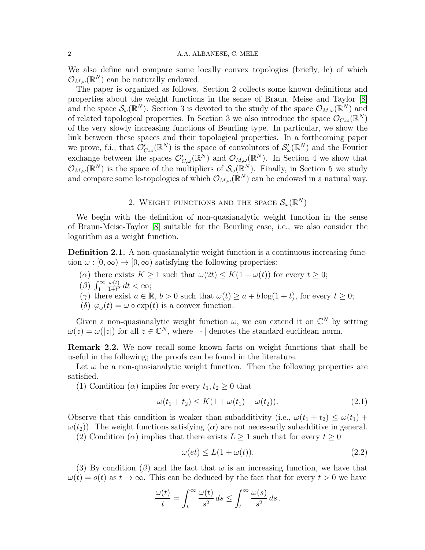We also define and compare some locally convex topologies (briefly, lc) of which  $\mathcal{O}_{M,\omega}(\mathbb{R}^N)$  can be naturally endowed.

The paper is organized as follows. Section 2 collects some known definitions and properties about the weight functions in the sense of Braun, Meise and Taylor [\[8\]](#page-29-6) and the space  $\mathcal{S}_{\omega}(\mathbb{R}^N)$ . Section 3 is devoted to the study of the space  $\mathcal{O}_{M,\omega}(\mathbb{R}^N)$  and of related topological properties. In Section 3 we also introduce the space  $\mathcal{O}_{C,\omega}(\mathbb{R}^N)$ of the very slowly increasing functions of Beurling type. In particular, we show the link between these spaces and their topological properties. In a forthcoming paper we prove, f.i., that  $\mathcal{O}'_{C,\omega}(\mathbb{R}^N)$  is the space of convolutors of  $\mathcal{S}'_{\omega}(\mathbb{R}^N)$  and the Fourier exchange between the spaces  $\mathcal{O}'_{C,\omega}(\mathbb{R}^N)$  and  $\mathcal{O}_{M,\omega}(\mathbb{R}^N)$ . In Section 4 we show that  $\mathcal{O}_{M,\omega}(\mathbb{R}^N)$  is the space of the multipliers of  $\mathcal{S}_{\omega}(\mathbb{R}^N)$ . Finally, in Section 5 we study and compare some lc-topologies of which  $\mathcal{O}_{M,\omega}(\mathbb{R}^N)$  can be endowed in a natural way.

# 2. WEIGHT FUNCTIONS AND THE SPACE  $\mathcal{S}_{\omega}(\mathbb{R}^{N})$

We begin with the definition of non-quasianalytic weight function in the sense of Braun-Meise-Taylor [\[8\]](#page-29-6) suitable for the Beurling case, i.e., we also consider the logarithm as a weight function.

<span id="page-1-1"></span>Definition 2.1. A non-quasianalytic weight function is a continuous increasing function  $\omega : [0, \infty) \to [0, \infty)$  satisfying the following properties:

- ( $\alpha$ ) there exists  $K \geq 1$  such that  $\omega(2t) \leq K(1 + \omega(t))$  for every  $t \geq 0$ ;
- ( $\beta$ )  $\int_1^\infty$  $\omega(t)$  $\frac{\omega(t)}{1+t^2} dt < \infty;$

(γ) there exist  $a \in \mathbb{R}$ ,  $b > 0$  such that  $\omega(t) \ge a + b \log(1+t)$ , for every  $t \ge 0$ ;

(δ)  $\varphi_{\omega}(t) = \omega \circ \exp(t)$  is a convex function.

Given a non-quasianalytic weight function  $\omega$ , we can extend it on  $\mathbb{C}^N$  by setting  $\omega(z) = \omega(|z|)$  for all  $z \in \mathbb{C}^N$ , where  $|\cdot|$  denotes the standard euclidean norm.

Remark 2.2. We now recall some known facts on weight functions that shall be useful in the following; the proofs can be found in the literature.

Let  $\omega$  be a non-quasianalytic weight function. Then the following properties are satisfied.

(1) Condition ( $\alpha$ ) implies for every  $t_1, t_2 \geq 0$  that

$$
\omega(t_1 + t_2) \le K(1 + \omega(t_1) + \omega(t_2)).
$$
\n(2.1)

Observe that this condition is weaker than subadditivity (i.e.,  $\omega(t_1 + t_2) \leq \omega(t_1) +$  $\omega(t_2)$ ). The weight functions satisfying ( $\alpha$ ) are not necessarily subadditive in general.

(2) Condition ( $\alpha$ ) implies that there exists  $L \geq 1$  such that for every  $t \geq 0$ 

<span id="page-1-0"></span>
$$
\omega(et) \le L(1 + \omega(t)).\tag{2.2}
$$

(3) By condition ( $\beta$ ) and the fact that  $\omega$  is an increasing function, we have that  $\omega(t) = o(t)$  as  $t \to \infty$ . This can be deduced by the fact that for every  $t > 0$  we have

$$
\frac{\omega(t)}{t} = \int_t^\infty \frac{\omega(t)}{s^2} ds \le \int_t^\infty \frac{\omega(s)}{s^2} ds.
$$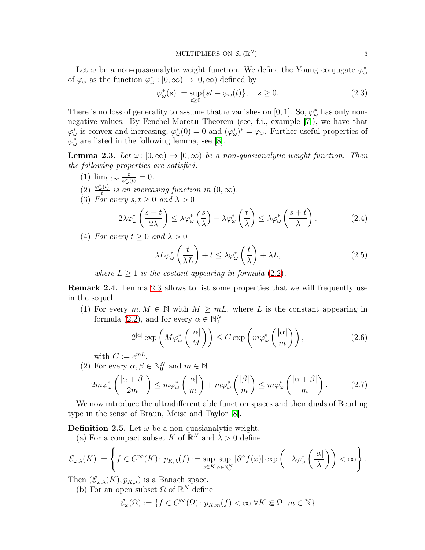Let  $\omega$  be a non-quasianalytic weight function. We define the Young conjugate  $\varphi^*_{\omega}$ of  $\varphi_{\omega}$  as the function  $\varphi_{\omega}^*: [0, \infty) \to [0, \infty)$  defined by

$$
\varphi_{\omega}^*(s) := \sup_{t \ge 0} \{ st - \varphi_{\omega}(t) \}, \quad s \ge 0.
$$
\n(2.3)

There is no loss of generality to assume that  $\omega$  vanishes on [0, 1]. So,  $\varphi^*_{\omega}$  has only nonnegative values. By Fenchel-Moreau Theorem (see, f.i., example [\[7\]](#page-29-7)), we have that  $\varphi_{\omega}^*$  is convex and increasing,  $\varphi_{\omega}^*(0) = 0$  and  $(\varphi_{\omega}^*)^* = \varphi_{\omega}$ . Further useful properties of  $\varphi_{\omega}^*$  are listed in the following lemma, see [\[8\]](#page-29-6).

<span id="page-2-0"></span>**Lemma 2.3.** Let  $\omega: [0, \infty) \to [0, \infty)$  be a non-quasianalytic weight function. Then the following properties are satisfied.

- $(1)$   $\lim_{t\to\infty} \frac{t}{\omega^*}$  $\frac{t}{\varphi_{\omega}^*(t)}=0.$
- $(2) \frac{\varphi_{\omega}^*(t)}{t}$  $t_t^{(t)}$  is an increasing function in  $(0,\infty)$ .
- (3) For every  $s, t \geq 0$  and  $\lambda > 0$

$$
2\lambda \varphi_{\omega}^* \left( \frac{s+t}{2\lambda} \right) \leq \lambda \varphi_{\omega}^* \left( \frac{s}{\lambda} \right) + \lambda \varphi_{\omega}^* \left( \frac{t}{\lambda} \right) \leq \lambda \varphi_{\omega}^* \left( \frac{s+t}{\lambda} \right). \tag{2.4}
$$

(4) For every  $t \geq 0$  and  $\lambda > 0$ 

<span id="page-2-3"></span>
$$
\lambda L \varphi_{\omega}^* \left( \frac{t}{\lambda L} \right) + t \le \lambda \varphi_{\omega}^* \left( \frac{t}{\lambda} \right) + \lambda L, \tag{2.5}
$$

where  $L \geq 1$  is the costant appearing in formula (2.[2\)](#page-1-0).

Remark 2.4. Lemma [2.3](#page-2-0) allows to list some properties that we will frequently use in the sequel.

(1) For every  $m, M \in \mathbb{N}$  with  $M \geq mL$ , where L is the constant appearing in formula [\(2](#page-1-0).2), and for every  $\alpha \in \mathbb{N}_0^N$ 

<span id="page-2-2"></span>
$$
2^{|\alpha|} \exp\left(M\varphi_{\omega}^*\left(\frac{|\alpha|}{M}\right)\right) \le C \exp\left(m\varphi_{\omega}^*\left(\frac{|\alpha|}{m}\right)\right),\tag{2.6}
$$

with  $C := e^{mL}$ .

(2) For every  $\alpha, \beta \in \mathbb{N}_0^N$  and  $m \in \mathbb{N}$ 

<span id="page-2-1"></span>
$$
2m\varphi_{\omega}^*\left(\frac{|\alpha+\beta|}{2m}\right) \le m\varphi_{\omega}^*\left(\frac{|\alpha|}{m}\right) + m\varphi_{\omega}^*\left(\frac{|\beta|}{m}\right) \le m\varphi_{\omega}^*\left(\frac{|\alpha+\beta|}{m}\right). \tag{2.7}
$$

We now introduce the ultradifferentiable function spaces and their duals of Beurling type in the sense of Braun, Meise and Taylor [\[8\]](#page-29-6).

**Definition 2.5.** Let  $\omega$  be a non-quasianalytic weight.

(a) For a compact subset K of  $\mathbb{R}^N$  and  $\lambda > 0$  define

$$
\mathcal{E}_{\omega,\lambda}(K) := \left\{ f \in C^{\infty}(K) \colon p_{K,\lambda}(f) := \sup_{x \in K} \sup_{\alpha \in \mathbb{N}_0^N} |\partial^{\alpha} f(x)| \exp \left( -\lambda \varphi_{\omega}^* \left( \frac{|\alpha|}{\lambda} \right) \right) < \infty \right\}.
$$

Then  $(\mathcal{E}_{\omega,\lambda}(K), p_{K,\lambda})$  is a Banach space.

(b) For an open subset  $\Omega$  of  $\mathbb{R}^N$  define

$$
\mathcal{E}_{\omega}(\Omega) := \{ f \in C^{\infty}(\Omega) \colon p_{K,m}(f) < \infty \ \forall K \Subset \Omega, \ m \in \mathbb{N} \}
$$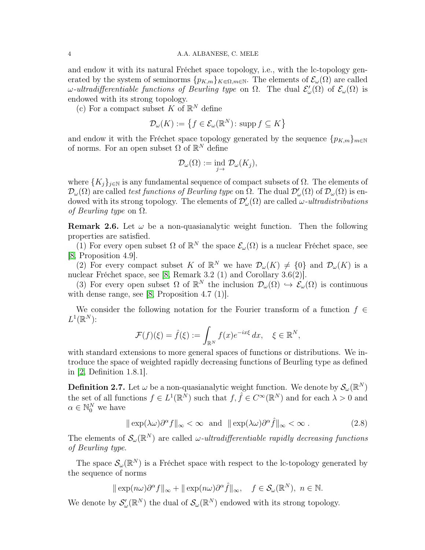and endow it with its natural Fréchet space topology, i.e., with the lc-topology generated by the system of seminorms  $\{p_{K,m}\}_{K\in\Omega,m\in\mathbb{N}}$ . The elements of  $\mathcal{E}_{\omega}(\Omega)$  are called ω-ultradifferentiable functions of Beurling type on  $\Omega$ . The dual  $\mathcal{E}'_{\omega}(\Omega)$  of  $\mathcal{E}_{\omega}(\Omega)$  is endowed with its strong topology.

(c) For a compact subset K of  $\mathbb{R}^N$  define

$$
\mathcal{D}_{\omega}(K) := \left\{ f \in \mathcal{E}_{\omega}(\mathbb{R}^N) \colon \operatorname{supp} f \subseteq K \right\}
$$

and endow it with the Fréchet space topology generated by the sequence  ${p_{K,m}}_{m\in\mathbb{N}}$ of norms. For an open subset  $\Omega$  of  $\mathbb{R}^N$  define

$$
\mathcal{D}_{\omega}(\Omega) := \text{ind}_{j \to \infty} \mathcal{D}_{\omega}(K_j),
$$

where  ${K_j}_{j \in \mathbb{N}}$  is any fundamental sequence of compact subsets of  $\Omega$ . The elements of  $\mathcal{D}_\omega(\Omega)$  are called *test functions of Beurling type* on  $\Omega$ . The dual  $\mathcal{D}'_\omega(\Omega)$  of  $\mathcal{D}_\omega(\Omega)$  is endowed with its strong topology. The elements of  $\mathcal{D}'_{\omega}(\Omega)$  are called  $\omega$ -ultradistributions of Beurling type on  $\Omega$ .

<span id="page-3-2"></span>**Remark 2.6.** Let  $\omega$  be a non-quasianalytic weight function. Then the following properties are satisfied.

(1) For every open subset  $\Omega$  of  $\mathbb{R}^N$  the space  $\mathcal{E}_{\omega}(\Omega)$  is a nuclear Fréchet space, see [\[8,](#page-29-6) Proposition 4.9].

(2) For every compact subset K of  $\mathbb{R}^N$  we have  $\mathcal{D}_{\omega}(K) \neq \{0\}$  and  $\mathcal{D}_{\omega}(K)$  is a nuclear Fréchet space, see [\[8,](#page-29-6) Remark 3.2 (1) and Corollary 3.6(2)].

(3) For every open subset  $\Omega$  of  $\mathbb{R}^N$  the inclusion  $\mathcal{D}_{\omega}(\Omega) \hookrightarrow \mathcal{E}_{\omega}(\Omega)$  is continuous with dense range, see [\[8,](#page-29-6) Proposition 4.7 (1)].

We consider the following notation for the Fourier transform of a function  $f \in$  $L^1(\mathbb{R}^N)$ :

$$
\mathcal{F}(f)(\xi) = \hat{f}(\xi) := \int_{\mathbb{R}^N} f(x)e^{-ix\xi} dx, \quad \xi \in \mathbb{R}^N,
$$

with standard extensions to more general spaces of functions or distributions. We introduce the space of weighted rapidly decreasing functions of Beurling type as defined in [\[2,](#page-29-1) Definition 1.8.1].

<span id="page-3-1"></span>**Definition 2.7.** Let  $\omega$  be a non-quasianalytic weight function. We denote by  $\mathcal{S}_{\omega}(\mathbb{R}^N)$ the set of all functions  $f \in L^1(\mathbb{R}^N)$  such that  $f, \hat{f} \in C^\infty(\mathbb{R}^N)$  and for each  $\lambda > 0$  and  $\alpha \in \mathbb{N}_0^N$  we have

<span id="page-3-0"></span>
$$
\|\exp(\lambda\omega)\partial^{\alpha}f\|_{\infty} < \infty \text{ and } \|\exp(\lambda\omega)\partial^{\alpha}\hat{f}\|_{\infty} < \infty.
$$
 (2.8)

The elements of  $\mathcal{S}_{\omega}(\mathbb{R}^N)$  are called  $\omega$ -ultradifferentiable rapidly decreasing functions of Beurling type.

The space  $\mathcal{S}_{\omega}(\mathbb{R}^N)$  is a Fréchet space with respect to the lc-topology generated by the sequence of norms

$$
\|\exp(n\omega)\partial^{\alpha} f\|_{\infty} + \|\exp(n\omega)\partial^{\alpha} \hat{f}\|_{\infty}, \quad f \in \mathcal{S}_{\omega}(\mathbb{R}^{N}), \ n \in \mathbb{N}.
$$

We denote by  $\mathcal{S}'_\omega(\mathbb{R}^N)$  the dual of  $\mathcal{S}_\omega(\mathbb{R}^N)$  endowed with its strong topology.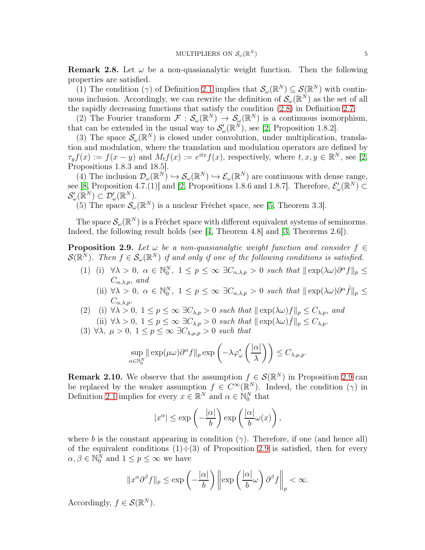**Remark 2.8.** Let  $\omega$  be a non-quasianalytic weight function. Then the following properties are satisfied.

(1) The condition ( $\gamma$ ) of Definition [2.1](#page-1-1) implies that  $\mathcal{S}_{\omega}(\mathbb{R}^N) \subseteq \mathcal{S}(\mathbb{R}^N)$  with continuous inclusion. Accordingly, we can rewrite the definition of  $\mathcal{S}_{\omega}(\mathbb{R}^N)$  as the set of all the rapidly decreasing functions that satisfy the condition [\(2](#page-3-0).8) in Definition [2.7.](#page-3-1)

(2) The Fourier transform  $\mathcal{F}: \mathcal{S}_{\omega}(\mathbb{R}^N) \to \mathcal{S}_{\omega}(\mathbb{R}^N)$  is a continuous isomorphism, that can be extended in the usual way to  $\mathcal{S}'_{\omega}(\mathbb{R}^N)$ , see [\[2,](#page-29-1) Proposition 1.8.2].

(3) The space  $\mathcal{S}_{\omega}(\mathbb{R}^N)$  is closed under convolution, under multiplication, translation and modulation, where the translation and modulation operators are defined by  $\tau_y f(x) := f(x - y)$  and  $M_t f(x) := e^{itx} f(x)$ , respectively, where  $t, x, y \in \mathbb{R}^N$ , see [\[2,](#page-29-1) Propositions 1.8.3 and 18.5].

(4) The inclusion  $\mathcal{D}_{\omega}(\mathbb{R}^N) \hookrightarrow \mathcal{S}_{\omega}(\mathbb{R}^N) \hookrightarrow \mathcal{E}_{\omega}(\mathbb{R}^N)$  are continuous with dense range, see [\[8,](#page-29-6) Proposition 4.7.(1)] and [\[2,](#page-29-1) Propositions 1.8.6 and 1.8.7]. Therefore,  $\mathcal{E}'_{\omega}(\mathbb{R}^N) \subset$  $\mathcal{S}'_{\omega}(\mathbb{R}^N) \subset \mathcal{D}'_{\omega}(\mathbb{R}^N).$ 

(5) The space  $S_{\omega}(\mathbb{R}^N)$  is a nuclear Fréchet space, see [\[5,](#page-29-5) Theorem 3.3].

The space  $\mathcal{S}_{\omega}(\mathbb{R}^N)$  is a Fréchet space with different equivalent systems of seminorms. Indeed, the following result holds (see [\[4,](#page-29-4) Theorem 4.8] and [\[3,](#page-29-3) Theorems 2.6]).

<span id="page-4-0"></span>**Proposition 2.9.** Let  $\omega$  be a non-quasianalytic weight function and consider  $f \in$  $\mathcal{S}(\mathbb{R}^N)$ . Then  $f \in \mathcal{S}_{\omega}(\mathbb{R}^N)$  if and only if one of the following conditions is satisfied.

- (1) (i)  $\forall \lambda > 0, \ \alpha \in \mathbb{N}_0^N, \ 1 \leq p \leq \infty \ \exists C_{\alpha,\lambda,p} > 0 \ \text{such that } ||\exp(\lambda \omega) \partial^{\alpha} f||_p \leq$  $C_{\alpha \lambda n}$ , and
	- (ii)  $\forall \lambda > 0, \ \alpha \in \mathbb{N}_0^N, \ 1 \leq p \leq \infty \ \exists C_{\alpha,\lambda,p} > 0 \ \text{such that } || \exp(\lambda \omega) \partial^{\alpha} \hat{f} ||_p \leq$  $C_{\alpha,\lambda,p}.$
- (2) (i)  $\forall \lambda > 0, 1 \leq p \leq \infty \exists C_{\lambda,p} > 0$  such that  $\|\exp(\lambda \omega)f\|_p \leq C_{\lambda,p}$ , and (ii)  $\forall \lambda > 0, \ 1 \leq p \leq \infty \ \exists C_{\lambda, p} > 0 \ \text{such that } || \exp(\lambda \omega) \hat{f} ||_p \leq C_{\lambda, p}.$
- (3)  $\forall \lambda, \mu > 0, 1 \leq p \leq \infty \exists C_{\lambda,\mu,p} > 0$  such that

$$
\sup_{\alpha \in \mathbb{N}_0^N} \|\exp(\mu \omega) \partial^{\alpha} f\|_p \exp\left(-\lambda \varphi_{\omega}^* \left(\frac{|\alpha|}{\lambda}\right)\right) \le C_{\lambda, \mu, p}.
$$

**Remark 2.10.** We observe that the assumption  $f \in \mathcal{S}(\mathbb{R}^N)$  in Proposition [2.9](#page-4-0) can be replaced by the weaker assumption  $f \in C^{\infty}(\mathbb{R}^{N})$ . Indeed, the condition  $(\gamma)$  in Definition [2.1](#page-1-1) implies for every  $x \in \mathbb{R}^N$  and  $\alpha \in \mathbb{N}_0^N$  that

$$
|x^{\alpha}| \le \exp\left(-\frac{|\alpha|}{b}\right) \exp\left(\frac{|\alpha|}{b}\omega(x)\right),\,
$$

where b is the constant appearing in condition  $(\gamma)$ . Therefore, if one (and hence all) of the equivalent conditions  $(1) \div (3)$  of Proposition [2.9](#page-4-0) is satisfied, then for every  $\alpha, \beta \in \mathbb{N}_0^N$  and  $1 \leq p \leq \infty$  we have

$$
||x^{\alpha}\partial^{\beta}f||_{p} \le \exp\left(-\frac{|\alpha|}{b}\right) \left\| \exp\left(\frac{|\alpha|}{b}\omega\right)\partial^{\beta}f\right\|_{p} < \infty.
$$

Accordingly,  $f \in \mathcal{S}(\mathbb{R}^N)$ .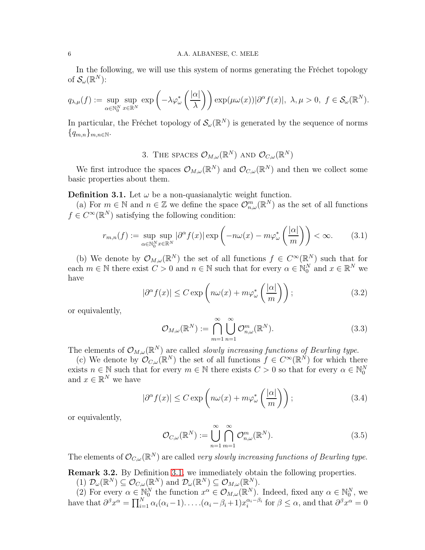## 6 A.A. ALBANESE, C. MELE

In the following, we will use this system of norms generating the Fréchet topology of  $\mathcal{S}_{\omega}(\mathbb{R}^N)$ :

$$
q_{\lambda,\mu}(f) := \sup_{\alpha \in \mathbb{N}_0^N} \sup_{x \in \mathbb{R}^N} \exp\left(-\lambda \varphi_{\omega}^*\left(\frac{|\alpha|}{\lambda}\right)\right) \exp(\mu \omega(x)) |\partial^{\alpha} f(x)|, \ \lambda, \mu > 0, \ f \in \mathcal{S}_{\omega}(\mathbb{R}^N).
$$

In particular, the Fréchet topology of  $\mathcal{S}_{\omega}(\mathbb{R}^N)$  is generated by the sequence of norms  ${q_{m,n}}_{m,n\in\mathbb{N}}$ .

3. THE SPACES 
$$
\mathcal{O}_{M,\omega}(\mathbb{R}^N)
$$
 and  $\mathcal{O}_{C,\omega}(\mathbb{R}^N)$ 

We first introduce the spaces  $\mathcal{O}_{M,\omega}(\mathbb{R}^N)$  and  $\mathcal{O}_{C,\omega}(\mathbb{R}^N)$  and then we collect some basic properties about them.

<span id="page-5-0"></span>**Definition 3.1.** Let  $\omega$  be a non-quasianalytic weight function.

(a) For  $m \in \mathbb{N}$  and  $n \in \mathbb{Z}$  we define the space  $\mathcal{O}_{n,\omega}^m(\mathbb{R}^N)$  as the set of all functions  $f \in C^{\infty}(\mathbb{R}^N)$  satisfying the following condition:

$$
r_{m,n}(f) := \sup_{\alpha \in \mathbb{N}_0^N} \sup_{x \in \mathbb{R}^N} |\partial^{\alpha} f(x)| \exp\left(-n\omega(x) - m\varphi_{\omega}^*\left(\frac{|\alpha|}{m}\right)\right) < \infty. \tag{3.1}
$$

(b) We denote by  $\mathcal{O}_{M,\omega}(\mathbb{R}^N)$  the set of all functions  $f \in C^{\infty}(\mathbb{R}^N)$  such that for each  $m \in \mathbb{N}$  there exist  $C > 0$  and  $n \in \mathbb{N}$  such that for every  $\alpha \in \mathbb{N}_0^N$  and  $x \in \mathbb{R}^N$  we have

<span id="page-5-1"></span>
$$
|\partial^{\alpha} f(x)| \le C \exp\left(n\omega(x) + m\varphi_{\omega}^*\left(\frac{|\alpha|}{m}\right)\right);
$$
\n(3.2)

or equivalently,

$$
\mathcal{O}_{M,\omega}(\mathbb{R}^N) := \bigcap_{m=1}^{\infty} \bigcup_{n=1}^{\infty} \mathcal{O}_{n,\omega}^m(\mathbb{R}^N). \tag{3.3}
$$

The elements of  $\mathcal{O}_{M,\omega}(\mathbb{R}^N)$  are called *slowly increasing functions of Beurling type.* 

(c) We denote by  $\mathcal{O}_{C,\omega}(\mathbb{R}^N)$  the set of all functions  $f \in C^{\infty}(\mathbb{R}^N)$  for which there exists  $n \in \mathbb{N}$  such that for every  $m \in \mathbb{N}$  there exists  $C > 0$  so that for every  $\alpha \in \mathbb{N}_0^N$ and  $x \in \mathbb{R}^N$  we have

$$
|\partial^{\alpha} f(x)| \le C \exp\left(n\omega(x) + m\varphi_{\omega}^*\left(\frac{|\alpha|}{m}\right)\right);
$$
\n(3.4)

or equivalently,

$$
\mathcal{O}_{C,\omega}(\mathbb{R}^N) := \bigcup_{n=1}^{\infty} \bigcap_{m=1}^{\infty} \mathcal{O}_{n,\omega}^m(\mathbb{R}^N).
$$
\n(3.5)

The elements of  $\mathcal{O}_{C,\omega}(\mathbb{R}^N)$  are called very slowly increasing functions of Beurling type.

<span id="page-5-2"></span>Remark 3.2. By Definition [3.1,](#page-5-0) we immediately obtain the following properties.

(1)  $\mathcal{D}_{\omega}(\mathbb{R}^N) \subseteq \mathcal{O}_{C,\omega}(\mathbb{R}^N)$  and  $\mathcal{D}_{\omega}(\mathbb{R}^N) \subseteq \mathcal{O}_{M,\omega}(\mathbb{R}^N)$ .

(2) For every  $\alpha \in \mathbb{N}_0^N$  the function  $x^{\alpha} \in \mathcal{O}_{M,\omega}(\mathbb{R}^N)$ . Indeed, fixed any  $\alpha \in \mathbb{N}_0^N$ , we have that  $\partial^{\beta} x^{\alpha} = \prod_{i=1}^{N} \alpha_i(\alpha_i - 1) \dots \dots (\alpha_i - \beta_i + 1) x_i^{\alpha_i - \beta_i}$  $\int_{i}^{\alpha_i-\beta_i}$  for  $\beta \leq \alpha$ , and that  $\partial^{\beta} x^{\alpha} = 0$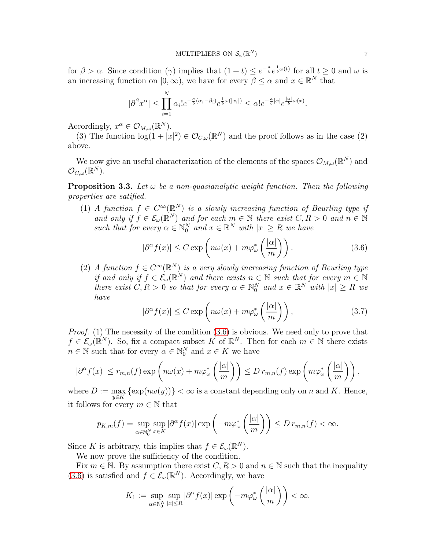for  $\beta > \alpha$ . Since condition  $(\gamma)$  implies that  $(1+t) \leq e^{-\frac{a}{b}}e^{\frac{1}{b}\omega(t)}$  for all  $t \geq 0$  and  $\omega$  is an increasing function on  $[0, \infty)$ , we have for every  $\beta \leq \alpha$  and  $x \in \mathbb{R}^N$  that

$$
|\partial^{\beta}x^{\alpha}| \leq \prod_{i=1}^{N} \alpha_i! e^{-\frac{a}{b}(\alpha_i - \beta_i)} e^{\frac{1}{b}\omega(|x_i|)} \leq \alpha! e^{-\frac{a}{b}|\alpha|} e^{\frac{|\alpha|}{b}\omega(x)}.
$$

Accordingly,  $x^{\alpha} \in \mathcal{O}_{M,\omega}(\mathbb{R}^N)$ .

(3) The function  $\log(1+|x|^2) \in \mathcal{O}_{C,\omega}(\mathbb{R}^N)$  and the proof follows as in the case (2) above.

We now give an useful characterization of the elements of the spaces  $\mathcal{O}_{M,\omega}(\mathbb{R}^N)$  and  $\mathcal{O}_{C,\omega}(\mathbb{R}^N).$ 

<span id="page-6-1"></span>**Proposition 3.3.** Let  $\omega$  be a non-quasianalytic weight function. Then the following properties are satified.

(1) A function  $f \in C^{\infty}(\mathbb{R}^N)$  is a slowly increasing function of Beurling type if and only if  $f \in \mathcal{E}_{\omega}(\mathbb{R}^N)$  and for each  $m \in \mathbb{N}$  there exist  $C, R > 0$  and  $n \in \mathbb{N}$ such that for every  $\alpha \in \mathbb{N}_0^N$  and  $x \in \mathbb{R}^N$  with  $|x| \geq R$  we have

<span id="page-6-0"></span>
$$
|\partial^{\alpha} f(x)| \le C \exp\left(n\omega(x) + m\varphi_{\omega}^*\left(\frac{|\alpha|}{m}\right)\right). \tag{3.6}
$$

(2) A function  $f \in C^{\infty}(\mathbb{R}^N)$  is a very slowly increasing function of Beurling type if and only if  $f \in \mathcal{E}_{\omega}(\mathbb{R}^N)$  and there exists  $n \in \mathbb{N}$  such that for every  $m \in \mathbb{N}$ there exist  $C, R > 0$  so that for every  $\alpha \in \mathbb{N}_0^N$  and  $x \in \mathbb{R}^N$  with  $|x| \ge R$  we have

$$
|\partial^{\alpha} f(x)| \le C \exp\left(n\omega(x) + m\varphi_{\omega}^*\left(\frac{|\alpha|}{m}\right)\right),\tag{3.7}
$$

Proof. (1) The necessity of the condition  $(3.6)$  is obvious. We need only to prove that  $f \in \mathcal{E}_{\omega}(\mathbb{R}^N)$ . So, fix a compact subset K of  $\mathbb{R}^N$ . Then for each  $m \in \mathbb{N}$  there exists  $n \in \mathbb{N}$  such that for every  $\alpha \in \mathbb{N}_0^N$  and  $x \in K$  we have

$$
|\partial^{\alpha} f(x)| \le r_{m,n}(f) \exp\left(n\omega(x) + m\varphi_{\omega}^*\left(\frac{|\alpha|}{m}\right)\right) \le D r_{m,n}(f) \exp\left(m\varphi_{\omega}^*\left(\frac{|\alpha|}{m}\right)\right),
$$

where  $D := \max_{y \in K} {\exp(n\omega(y))} < \infty$  is a constant depending only on n and K. Hence, it follows for every  $m \in \mathbb{N}$  that

$$
p_{K,m}(f) = \sup_{\alpha \in \mathbb{N}_0^N} \sup_{x \in K} |\partial^{\alpha} f(x)| \exp\left(-m\varphi_{\omega}^*\left(\frac{|\alpha|}{m}\right)\right) \le D \, r_{m,n}(f) < \infty.
$$

Since K is arbitrary, this implies that  $f \in \mathcal{E}_{\omega}(\mathbb{R}^N)$ .

We now prove the sufficiency of the condition.

Fix  $m \in \mathbb{N}$ . By assumption there exist  $C, R > 0$  and  $n \in \mathbb{N}$  such that the inequality [\(3](#page-6-0).6) is satisfied and  $f \in \mathcal{E}_{\omega}(\mathbb{R}^N)$ . Accordingly, we have

$$
K_1 := \sup_{\alpha \in \mathbb{N}_0^N} \sup_{|x| \le R} |\partial^{\alpha} f(x)| \exp \left( -m \varphi_{\omega}^* \left( \frac{|\alpha|}{m} \right) \right) < \infty.
$$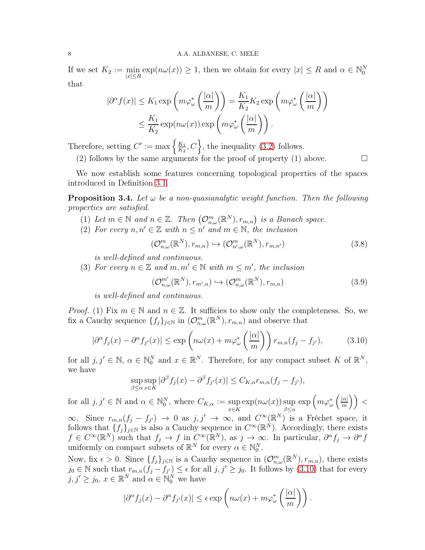### 8 A.A. ALBANESE, C. MELE

If we set  $K_2 := \min_{|x| \le R} \exp(n\omega(x)) \ge 1$ , then we obtain for every  $|x| \le R$  and  $\alpha \in \mathbb{N}_0^N$ that

$$
|\partial^{\alpha} f(x)| \leq K_1 \exp\left(m\varphi_{\omega}^*\left(\frac{|\alpha|}{m}\right)\right) = \frac{K_1}{K_2} K_2 \exp\left(m\varphi_{\omega}^*\left(\frac{|\alpha|}{m}\right)\right)
$$
  

$$
\leq \frac{K_1}{K_2} \exp(n\omega(x)) \exp\left(m\varphi_{\omega}^*\left(\frac{|\alpha|}{m}\right)\right).
$$

Therefore, setting  $C' := \max \left\{ \frac{K_1}{K_2} \right\}$  $\frac{K_1}{K_2}, C$ , the inequality (3.[2\)](#page-5-1) follows.

(2) follows by the same arguments for the proof of property (1) above.  $\Box$ 

We now establish some features concerning topological properties of the spaces introduced in Definition [3.1.](#page-5-0)

<span id="page-7-3"></span>**Proposition 3.4.** Let  $\omega$  be a non-quasianalytic weight function. Then the following properties are satisfied.

- (1) Let  $m \in \mathbb{N}$  and  $n \in \mathbb{Z}$ . Then  $(\mathcal{O}_{n,\omega}^m(\mathbb{R}^N), r_{m,n})$  is a Banach space.
- (2) For every  $n, n' \in \mathbb{Z}$  with  $n \leq n'$  and  $m \in \mathbb{N}$ , the inclusion

<span id="page-7-1"></span>
$$
(\mathcal{O}_{n,\omega}^m(\mathbb{R}^N),r_{m,n}) \hookrightarrow (\mathcal{O}_{n',\omega}^m(\mathbb{R}^N),r_{m,n'})
$$
\n(3.8)

is well-defined and continuous.

(3) For every  $n \in \mathbb{Z}$  and  $m, m' \in \mathbb{N}$  with  $m \leq m'$ , the inclusion

<span id="page-7-2"></span>
$$
(\mathcal{O}_{n,\omega}^{m'}(\mathbb{R}^N),r_{m',n}) \hookrightarrow (\mathcal{O}_{n,\omega}^{m}(\mathbb{R}^N),r_{m,n})
$$
\n(3.9)

is well-defined and continuous.

*Proof.* (1) Fix  $m \in \mathbb{N}$  and  $n \in \mathbb{Z}$ . It sufficies to show only the completeness. So, we fix a Cauchy sequence  $\{f_j\}_{j\in\mathbb{N}}$  in  $(\mathcal{O}_{n,\omega}^m(\mathbb{R}^N), r_{m,n})$  and observe that

<span id="page-7-0"></span>
$$
|\partial^{\alpha} f_j(x) - \partial^{\alpha} f_{j'}(x)| \le \exp\left(n\omega(x) + m\varphi_{\omega}^*\left(\frac{|\alpha|}{m}\right)\right) r_{m,n}(f_j - f_{j'}),\tag{3.10}
$$

for all  $j, j' \in \mathbb{N}, \alpha \in \mathbb{N}_0^N$  and  $x \in \mathbb{R}^N$ . Therefore, for any compact subset K of  $\mathbb{R}^N$ , we have

$$
\sup_{\beta \leq \alpha} \sup_{x \in K} |\partial^{\beta} f_j(x) - \partial^{\beta} f_{j'}(x)| \leq C_{K,\alpha} r_{m,n} (f_j - f_{j'}),
$$

for all  $j, j' \in \mathbb{N}$  and  $\alpha \in \mathbb{N}_0^N$ , where  $C_{K,\alpha} := \sup$ x∈K  $\exp(n\omega(x))$  sup  $\beta{\leq}\alpha$  $\exp\left(m\varphi_{\omega}^{*}\left(\frac{|\alpha|}{m}\right.\right.$  $\frac{|\alpha|}{m}\Big)\Big) <$ 

 $\infty$ . Since  $r_{m,n}(f_j - f_{j'})$  → 0 as  $j, j'$  →  $\infty$ , and  $C^{\infty}(\mathbb{R}^N)$  is a Fréchet space, it follows that  $\{f_j\}_{j\in\mathbb{N}}$  is also a Cauchy sequence in  $C^{\infty}(\mathbb{R}^N)$ . Accordingly, there exists  $f \in C^{\infty}(\mathbb{R}^N)$  such that  $f_j \to f$  in  $C^{\infty}(\mathbb{R}^N)$ , as  $j \to \infty$ . In particular,  $\partial^{\alpha} f_j \to \partial^{\alpha} f$ uniformly on compact subsets of  $\mathbb{R}^N$  for every  $\alpha \in \mathbb{N}_0^N$ .

Now, fix  $\epsilon > 0$ . Since  $\{f_j\}_{j\in\mathbb{N}}$  is a Cauchy sequence in  $(\mathcal{O}_{n,\omega}^m(\mathbb{R}^N), r_{m,n})$ , there exists  $j_0 \in \mathbb{N}$  such that  $r_{m,n}(f_j - f_{j'}) \leq \epsilon$  for all  $j, j' \geq j_0$ . It follows by (3.[10\)](#page-7-0) that for every  $j, j' \geq j_0, x \in \mathbb{R}^N$  and  $\alpha \in \mathbb{N}_0^N$  we have

$$
|\partial^{\alpha} f_j(x) - \partial^{\alpha} f_{j'}(x)| \leq \epsilon \exp\left(n\omega(x) + m\varphi_{\omega}^*\left(\frac{|\alpha|}{m}\right)\right).
$$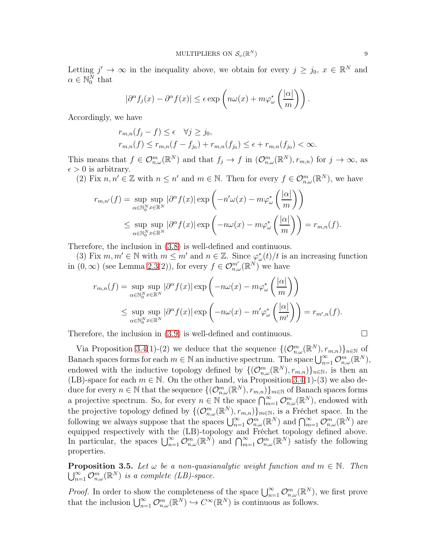Letting  $j' \to \infty$  in the inequality above, we obtain for every  $j \geq j_0, x \in \mathbb{R}^N$  and  $\alpha \in \mathbb{N}_0^N$  that

$$
|\partial^{\alpha} f_j(x) - \partial^{\alpha} f(x)| \le \epsilon \exp\left(n\omega(x) + m\varphi_{\omega}^*\left(\frac{|\alpha|}{m}\right)\right).
$$

Accordingly, we have

$$
r_{m,n}(f_j - f) \le \epsilon \quad \forall j \ge j_0, r_{m,n}(f) \le r_{m,n}(f - f_{j_0}) + r_{m,n}(f_{j_0}) \le \epsilon + r_{m,n}(f_{j_0}) < \infty.
$$

This means that  $f \in \mathcal{O}_{n,\omega}^m(\mathbb{R}^N)$  and that  $f_j \to f$  in  $(\mathcal{O}_{n,\omega}^m(\mathbb{R}^N), r_{m,n})$  for  $j \to \infty$ , as  $\epsilon > 0$  is arbitrary.

(2) Fix  $n, n' \in \mathbb{Z}$  with  $n \leq n'$  and  $m \in \mathbb{N}$ . Then for every  $f \in \mathcal{O}_{n,\omega}^m(\mathbb{R}^N)$ , we have

$$
r_{m,n'}(f) = \sup_{\alpha \in \mathbb{N}_0^N} \sup_{x \in \mathbb{R}^N} |\partial^{\alpha} f(x)| \exp\left(-n'\omega(x) - m\varphi_{\omega}^*\left(\frac{|\alpha|}{m}\right)\right)
$$
  

$$
\leq \sup_{\alpha \in \mathbb{N}_0^N} \sup_{x \in \mathbb{R}^N} |\partial^{\alpha} f(x)| \exp\left(-n\omega(x) - m\varphi_{\omega}^*\left(\frac{|\alpha|}{m}\right)\right) = r_{m,n}(f).
$$

Therefore, the inclusion in [\(3](#page-7-1).8) is well-defined and continuous.

(3) Fix  $m, m' \in \mathbb{N}$  with  $m \leq m'$  and  $n \in \mathbb{Z}$ . Since  $\varphi_{\omega}^*(t)/t$  is an increasing function in  $(0, \infty)$  (see Lemma [2.3\(](#page-2-0)2)), for every  $f \in \mathcal{O}_{n,\omega}^{m'}(\mathbb{R}^N)$  we have

$$
r_{m,n}(f) = \sup_{\alpha \in \mathbb{N}_0^N} \sup_{x \in \mathbb{R}^N} |\partial^{\alpha} f(x)| \exp\left(-n\omega(x) - m\varphi_{\omega}^*\left(\frac{|\alpha|}{m}\right)\right)
$$
  

$$
\leq \sup_{\alpha \in \mathbb{N}_0^N} \sup_{x \in \mathbb{R}^N} |\partial^{\alpha} f(x)| \exp\left(-n\omega(x) - m'\varphi_{\omega}^*\left(\frac{|\alpha|}{m'}\right)\right) = r_{m',n}(f).
$$

Therefore, the inclusion in  $(3.9)$  $(3.9)$  is well-defined and continuous.

Via Proposition [3.4\(](#page-7-3)1)-(2) we deduce that the sequence  $\{(\mathcal{O}_{n,\omega}^m(\mathbb{R}^N),r_{m,n})\}_{n\in\mathbb{N}}$  of Banach spaces forms for each  $m \in \mathbb{N}$  an inductive spectrum. The space  $\bigcup_{n=1}^{\infty} \mathcal{O}_{n,\omega}^m(\mathbb{R}^N)$ , endowed with the inductive topology defined by  $\{(\mathcal{O}_{n,\omega}^m(\mathbb{R}^N),r_{m,n})\}_{n\in\mathbb{N}}$ , is then an (LB)-space for each  $m \in \mathbb{N}$ . On the other hand, via Proposition [3.4\(](#page-7-3)1)-(3) we also deduce for every  $n \in \mathbb{N}$  that the sequence  $\{(\mathcal{O}_{n,\omega}^m(\mathbb{R}^N), r_{m,n})\}_{m \in \mathbb{N}}$  of Banach spaces forms a projective spectrum. So, for every  $n \in \mathbb{N}$  the space  $\bigcap_{m=1}^{\infty} \mathcal{O}_{n,\omega}^m(\mathbb{R}^N)$ , endowed with the projective topology defined by  $\{(\mathcal{O}_{n,\omega}^m(\mathbb{R}^N),r_{m,n})\}_{m\in\mathbb{N}}$ , is a Fréchet space. In the following we always suppose that the spaces  $\bigcup_{n=1}^{\infty} \mathcal{O}_{n,\omega}^m(\mathbb{R}^N)$  and  $\bigcap_{m=1}^{\infty} \mathcal{O}_{n,\omega}^m(\mathbb{R}^N)$  are equipped respectively with the (LB)-topology and Fréchet topology defined above. In particular, the spaces  $\bigcup_{n=1}^{\infty} \mathcal{O}_{n,\omega}^m(\mathbb{R}^N)$  and  $\bigcap_{m=1}^{\infty} \mathcal{O}_{n,\omega}^m(\mathbb{R}^N)$  satisfy the following properties.

<span id="page-8-0"></span>**Proposition 3.5.** Let  $\omega$  be a non-quasianalytic weight function and  $m \in \mathbb{N}$ . Then  $\bigcup_{n=1}^{\infty} \mathcal{O}_{n,\omega}^m(\mathbb{R}^N)$  is a complete (LB)-space.

*Proof.* In order to show the completeness of the space  $\bigcup_{n=1}^{\infty} \mathcal{O}_{n,\omega}^m(\mathbb{R}^N)$ , we first prove that the inclusion  $\bigcup_{n=1}^{\infty} \mathcal{O}_{n,\omega}^m(\mathbb{R}^N) \hookrightarrow C^{\infty}(\mathbb{R}^N)$  is continuous as follows.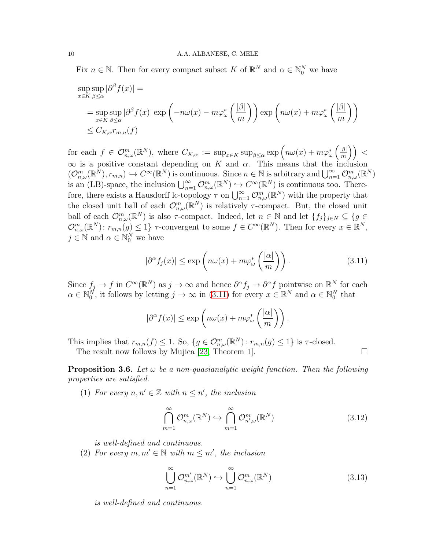Fix  $n \in \mathbb{N}$ . Then for every compact subset K of  $\mathbb{R}^N$  and  $\alpha \in \mathbb{N}_0^N$  we have

$$
\sup_{x \in K} \sup_{\beta \le \alpha} |\partial^{\beta} f(x)| =
$$
  
= 
$$
\sup_{x \in K} \sup_{\beta \le \alpha} |\partial^{\beta} f(x)| \exp \left( -n\omega(x) - m\varphi_{\omega}^{*} \left( \frac{|\beta|}{m} \right) \right) \exp \left( n\omega(x) + m\varphi_{\omega}^{*} \left( \frac{|\beta|}{m} \right) \right)
$$
  

$$
\le C_{K,\alpha} r_{m,n}(f)
$$

for each  $f \in \mathcal{O}_{n,\omega}^m(\mathbb{R}^N)$ , where  $C_{K,\alpha} := \sup_{x \in K} \sup_{\beta \leq \alpha} \exp \left( n \omega(x) + m \varphi_{\omega}^* \left( \frac{|\beta|}{m} \right) \right)$  $\frac{|\beta|}{m}\bigg)\bigg)$  <  $\infty$  is a positive constant depending on K and  $\alpha$ . This means that the inclusion  $(\mathcal{O}_{n,\omega}^m(\mathbb{R}^N),r_{m,n})\hookrightarrow C^{\infty}(\mathbb{R}^N)$  is continuous. Since  $n\in\mathbb{N}$  is arbitrary and  $\bigcup_{n=1}^{\infty}\mathcal{O}_{n,\omega}^m(\mathbb{R}^N)$ is an (LB)-space, the inclusion  $\bigcup_{n=1}^{\infty} \mathcal{O}_{n,\omega}^m(\mathbb{R}^N) \hookrightarrow C^{\infty}(\mathbb{R}^N)$  is continuous too. Therefore, there exists a Hausdorff lc-topology  $\tau$  on  $\bigcup_{n=1}^{\infty} \mathcal{O}_{n,\omega}^m(\mathbb{R}^N)$  with the property that the closed unit ball of each  $\mathcal{O}_{n,\omega}^m(\mathbb{R}^N)$  is relatively  $\tau$ -compact. But, the closed unit ball of each  $\mathcal{O}_{n,\omega}^m(\mathbb{R}^N)$  is also  $\tau$ -compact. Indeed, let  $n \in \mathbb{N}$  and let  $\{f_j\}_{j\in\mathbb{N}} \subseteq \{g \in$  $\mathcal{O}_{n,\omega}^m(\mathbb{R}^N)$ :  $r_{m,n}(g) \leq 1$   $\}$   $\tau$ -convergent to some  $f \in C^{\infty}(\mathbb{R}^N)$ . Then for every  $x \in \mathbb{R}^N$ ,  $j \in \mathbb{N}$  and  $\alpha \in \mathbb{N}_0^N$  we have

<span id="page-9-0"></span>
$$
|\partial^{\alpha} f_j(x)| \le \exp\left(n\omega(x) + m\varphi^*_{\omega}\left(\frac{|\alpha|}{m}\right)\right). \tag{3.11}
$$

Since  $f_j \to f$  in  $C^{\infty}(\mathbb{R}^N)$  as  $j \to \infty$  and hence  $\partial^{\alpha} f_j \to \partial^{\alpha} f$  pointwise on  $\mathbb{R}^N$  for each  $\alpha \in \mathbb{N}_0^N$ , it follows by letting  $j \to \infty$  in [\(3.11\)](#page-9-0) for every  $x \in \mathbb{R}^N$  and  $\alpha \in \mathbb{N}_0^N$  that

$$
|\partial^{\alpha} f(x)| \leq \exp\left(n\omega(x) + m\varphi_{\omega}^*\left(\frac{|\alpha|}{m}\right)\right).
$$

This implies that  $r_{m,n}(f) \leq 1$ . So,  $\{g \in \mathcal{O}_{n,\omega}^m(\mathbb{R}^N) : r_{m,n}(g) \leq 1\}$  is  $\tau$ -closed.

The result now follows by Mujica [\[23,](#page-30-16) Theorem 1].  $\Box$ 

<span id="page-9-2"></span>**Proposition 3.6.** Let  $\omega$  be a non-quasianalytic weight function. Then the following properties are satisfied.

(1) For every  $n, n' \in \mathbb{Z}$  with  $n \leq n'$ , the inclusion

<span id="page-9-1"></span>
$$
\bigcap_{m=1}^{\infty} \mathcal{O}_{n,\omega}^m(\mathbb{R}^N) \hookrightarrow \bigcap_{m=1}^{\infty} \mathcal{O}_{n',\omega}^m(\mathbb{R}^N)
$$
\n(3.12)

is well-defined and continuous.

(2) For every  $m, m' \in \mathbb{N}$  with  $m \leq m'$ , the inclusion

$$
\bigcup_{n=1}^{\infty} \mathcal{O}_{n,\omega}^{m'}(\mathbb{R}^N) \hookrightarrow \bigcup_{n=1}^{\infty} \mathcal{O}_{n,\omega}^m(\mathbb{R}^N)
$$
\n(3.13)

is well-defined and continuous.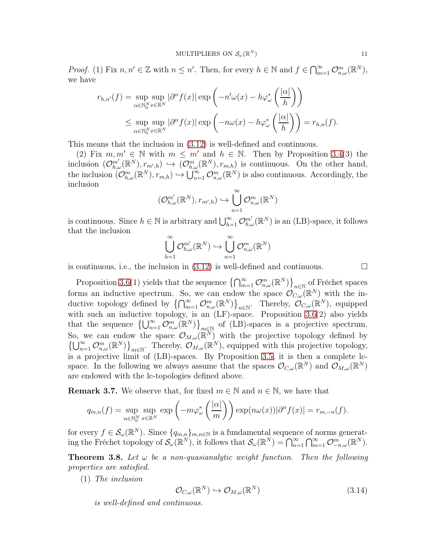*Proof.* (1) Fix  $n, n' \in \mathbb{Z}$  with  $n \leq n'$ . Then, for every  $h \in \mathbb{N}$  and  $f \in \bigcap_{m=1}^{\infty} \mathcal{O}_{n,\omega}^m(\mathbb{R}^N)$ , we have

$$
r_{h,n'}(f) = \sup_{\alpha \in \mathbb{N}_0^N} \sup_{x \in \mathbb{R}^N} |\partial^{\alpha} f(x)| \exp\left(-n'\omega(x) - h\varphi_{\omega}^*\left(\frac{|\alpha|}{h}\right)\right)
$$
  

$$
\leq \sup_{\alpha \in \mathbb{N}_0^N} \sup_{x \in \mathbb{R}^N} |\partial^{\alpha} f(x)| \exp\left(-n\omega(x) - h\varphi_{\omega}^*\left(\frac{|\alpha|}{h}\right)\right) = r_{h,n}(f).
$$

This means that the inclusion in (3.[12\)](#page-9-1) is well-defined and continuous.

(2) Fix  $m, m' \in \mathbb{N}$  with  $m \leq m'$  and  $h \in \mathbb{N}$ . Then by Proposition [3.4\(](#page-7-3)3) the inclusion  $(\mathcal{O}_{h,\omega}^{m'}(\mathbb{R}^N),r_{m',h}) \hookrightarrow (\mathcal{O}_{h,\omega}^{m}(\mathbb{R}^N),r_{m,h})$  is continuous. On the other hand, the inclusion  $(\mathcal{O}_{h,\omega}^m(\mathbb{R}^N),r_{m,h}) \hookrightarrow \bigcup_{n=1}^{\infty} \mathcal{O}_{n,\omega}^m(\mathbb{R}^N)$  is also continuous. Accordingly, the inclusion

$$
(\mathcal{O}_{h,\omega}^{m'}(\mathbb{R}^N),r_{m',h})\hookrightarrow \bigcup_{n=1}^{\infty}\mathcal{O}_{n,\omega}^m(\mathbb{R}^N)
$$

is continuous. Since  $h \in \mathbb{N}$  is arbitrary and  $\bigcup_{h=1}^{\infty} \mathcal{O}_{h,\omega}^{m'}(\mathbb{R}^N)$  is an (LB)-space, it follows that the inclusion

$$
\bigcup_{h=1}^{\infty} \mathcal{O}^{m'}_{h,\omega}(\mathbb{R}^N) \hookrightarrow \bigcup_{n=1}^{\infty} \mathcal{O}^m_{n,\omega}(\mathbb{R}^N)
$$

is continuous, i.e., the inclusion in  $(3.12)$  $(3.12)$  is well-defined and continuous.

Proposition [3.6\(](#page-9-2)1) yields that the sequence  $\{\bigcap_{m=1}^{\infty} \mathcal{O}_{n,\omega}^m(\mathbb{R}^N)\}_{n\in\mathbb{N}}$  of Fréchet spaces forms an inductive spectrum. So, we can endow the space  $\mathcal{O}_{C,\omega}(\mathbb{R}^N)$  with the inductive topology defined by  $\{\bigcap_{m=1}^{\infty} \mathcal{O}_{n,\omega}^m(\mathbb{R}^N)\}_{n\in\mathbb{N}}$ . Thereby,  $\mathcal{O}_{C,\omega}(\mathbb{R}^N)$ , equipped with such an inductive topology, is an (LF)-space. Proposition [3.6\(](#page-9-2)2) also yields that the sequence  $\{\bigcup_{n=1}^{\infty} \mathcal{O}_{n,\omega}^m(\mathbb{R}^N)\}_{m\in\mathbb{N}}$  of (LB)-spaces is a projective spectrum. So, we can endow the space  $\mathcal{O}_{M,\omega}(\mathbb{R}^N)$  with the projective topology defined by  $\{\bigcup_{n=1}^{\infty} \mathcal{O}_{n,\omega}^m(\mathbb{R}^N)\}_{m\in\mathbb{N}}$ . Thereby,  $\mathcal{O}_{M,\omega}(\mathbb{R}^N)$ , equipped with this projective topology, is a projective limit of (LB)-spaces. By Proposition [3.5,](#page-8-0) it is then a complete lcspace. In the following we always assume that the spaces  $\mathcal{O}_{C,\omega}(\mathbb{R}^N)$  and  $\mathcal{O}_{M,\omega}(\mathbb{R}^N)$ are endowed with the lc-topologies defined above.

**Remark 3.7.** We observe that, for fixed  $m \in \mathbb{N}$  and  $n \in \mathbb{N}$ , we have that

$$
q_{m,n}(f) = \sup_{\alpha \in \mathbb{N}_0^N} \sup_{x \in \mathbb{R}^N} \exp\left(-m\varphi_{\omega}^*\left(\frac{|\alpha|}{m}\right)\right) \exp(n\omega(x))|\partial^{\alpha}f(x)| = r_{m,-n}(f).
$$

for every  $f \in \mathcal{S}_{\omega}(\mathbb{R}^N)$ . Since  $\{q_{m,n}\}_{m,n\in\mathbb{N}}$  is a fundamental sequence of norms generating the Fréchet topology of  $\mathcal{S}_{\omega}(\mathbb{R}^N)$ , it follows that  $\mathcal{S}_{\omega}(\mathbb{R}^N) = \bigcap_{n=1}^{\infty} \bigcap_{m=1}^{\infty} \mathcal{O}_{-n,\omega}^m(\mathbb{R}^N)$ .

<span id="page-10-1"></span>**Theorem 3.8.** Let  $\omega$  be a non-quasianalytic weight function. Then the following properties are satisfied.

(1) The inclusion

<span id="page-10-0"></span>
$$
\mathcal{O}_{C,\omega}(\mathbb{R}^N) \hookrightarrow \mathcal{O}_{M,\omega}(\mathbb{R}^N) \tag{3.14}
$$

is well-defined and continuous.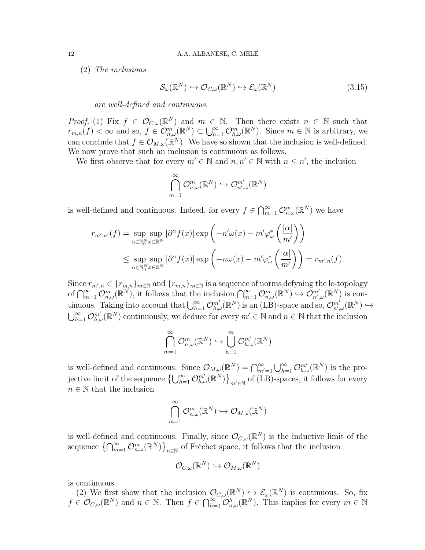(2) The inclusions

<span id="page-11-0"></span>
$$
\mathcal{S}_{\omega}(\mathbb{R}^N) \hookrightarrow \mathcal{O}_{C,\omega}(\mathbb{R}^N) \hookrightarrow \mathcal{E}_{\omega}(\mathbb{R}^N)
$$
\n(3.15)

are well-defined and continuous.

*Proof.* (1) Fix  $f \in \mathcal{O}_{C,\omega}(\mathbb{R}^N)$  and  $m \in \mathbb{N}$ . Then there exists  $n \in \mathbb{N}$  such that  $r_{m,n}(f) < \infty$  and so,  $f \in \mathcal{O}_{n,\omega}^m(\mathbb{R}^N) \subset \bigcup_{h=1}^{\infty} \mathcal{O}_{h,\omega}^m(\mathbb{R}^N)$ . Since  $m \in \mathbb{N}$  is arbitrary, we can conclude that  $f \in \mathcal{O}_{M,\omega}(\mathbb{R}^N)$ . We have so shown that the inclusion is well-defined. We now prove that such an inclusion is continuous as follows.

We first observe that for every  $m' \in \mathbb{N}$  and  $n, n' \in \mathbb{N}$  with  $n \leq n'$ , the inclusion

$$
\bigcap_{m=1}^\infty \mathcal{O}^m_{n,\omega}(\mathbb{R}^N) \hookrightarrow \mathcal{O}^{m'}_{n',\omega}(\mathbb{R}^N)
$$

is well-defined and continuous. Indeed, for every  $f \in \bigcap_{m=1}^{\infty} \mathcal{O}_{n,\omega}^m(\mathbb{R}^N)$  we have

$$
r_{m',n'}(f) = \sup_{\alpha \in \mathbb{N}_0^N} \sup_{x \in \mathbb{R}^N} |\partial^{\alpha} f(x)| \exp\left(-n'\omega(x) - m'\varphi_{\omega}^*\left(\frac{|\alpha|}{m'}\right)\right)
$$
  

$$
\leq \sup_{\alpha \in \mathbb{N}_0^N} \sup_{x \in \mathbb{R}^N} |\partial^{\alpha} f(x)| \exp\left(-n\omega(x) - m'\varphi_{\omega}^*\left(\frac{|\alpha|}{m'}\right)\right) = r_{m',n}(f).
$$

Since  $r_{m',n} \in \{r_{m,n}\}_{m\in\mathbb{N}}$  and  $\{r_{m,n}\}_{m\in\mathbb{N}}$  is a sequence of norms defyning the lc-topology of  $\bigcap_{m=1}^{\infty} \mathcal{O}_{n,\omega}^m(\mathbb{R}^N)$ , it follows that the inclusion  $\bigcap_{m=1}^{\infty} \mathcal{O}_{n,\omega}^m(\mathbb{R}^N) \hookrightarrow \mathcal{O}_{n',\omega}^{m'}(\mathbb{R}^N)$  is continuous. Taking into account that  $\bigcup_{h=1}^{\infty} \mathcal{O}_{h,\omega}^{m'}(\mathbb{R}^N)$  is an (LB)-space and so,  $\mathcal{O}_{n',\omega}^{m'}(\mathbb{R}^N) \hookrightarrow$  $\bigcup_{h=1}^{\infty} \mathcal{O}_{h,\omega}^{m'}(\mathbb{R}^N)$  continuously, we deduce for every  $m' \in \mathbb{N}$  and  $n \in \mathbb{N}$  that the inclusion

$$
\bigcap_{m=1}^{\infty} \mathcal{O}_{n,\omega}^m(\mathbb{R}^N) \hookrightarrow \bigcup_{h=1}^{\infty} \mathcal{O}_{h,\omega}^{m'}(\mathbb{R}^N)
$$

is well-defined and continuous. Since  $\mathcal{O}_{M,\omega}(\mathbb{R}^N) = \bigcap_{m'=1}^{\infty} \bigcup_{h=1}^{\infty} \mathcal{O}_{h,\omega}^{m'}(\mathbb{R}^N)$  is the projective limit of the sequence  $\left\{\bigcup_{h=1}^{\infty} \mathcal{O}_{h,\omega}^{m'}(\mathbb{R}^N)\right\}_{m'\in\mathbb{N}}$  of (LB)-spaces, it follows for every  $n \in \mathbb{N}$  that the inclusion

$$
\bigcap_{m=1}^{\infty} \mathcal{O}^m_{n,\omega}(\mathbb{R}^N) \hookrightarrow \mathcal{O}_{M,\omega}(\mathbb{R}^N)
$$

is well-defined and continuous. Finally, since  $\mathcal{O}_{C,\omega}(\mathbb{R}^N)$  is the inductive limit of the sequence  $\{\bigcap_{m=1}^{\infty}\mathcal{O}_{n,\omega}^m(\mathbb{R}^N)\}_{n\in\mathbb{N}}$  of Fréchet space, it follows that the inclusion

$$
\mathcal{O}_{C,\omega}(\mathbb{R}^N)\hookrightarrow \mathcal{O}_{M,\omega}(\mathbb{R}^N)
$$

is continuous.

(2) We first show that the inclusion  $\mathcal{O}_{C,\omega}(\mathbb{R}^N) \hookrightarrow \mathcal{E}_{\omega}(\mathbb{R}^N)$  is continuous. So, fix  $f \in \mathcal{O}_{C,\omega}(\mathbb{R}^N)$  and  $n \in \mathbb{N}$ . Then  $f \in \bigcap_{h=1}^{\infty} \mathcal{O}_{n,\omega}^h(\mathbb{R}^N)$ . This implies for every  $m \in \mathbb{N}$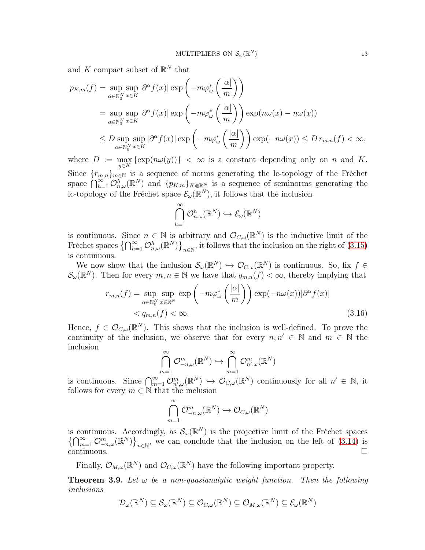and K compact subset of  $\mathbb{R}^N$  that

$$
p_{K,m}(f) = \sup_{\alpha \in \mathbb{N}_0^N} \sup_{x \in K} |\partial^{\alpha} f(x)| \exp\left(-m\varphi_{\omega}^*\left(\frac{|\alpha|}{m}\right)\right)
$$
  
= 
$$
\sup_{\alpha \in \mathbb{N}_0^N} \sup_{x \in K} |\partial^{\alpha} f(x)| \exp\left(-m\varphi_{\omega}^*\left(\frac{|\alpha|}{m}\right)\right) \exp(n\omega(x) - n\omega(x))
$$
  

$$
\leq D \sup_{\alpha \in \mathbb{N}_0^N} \sup_{x \in K} |\partial^{\alpha} f(x)| \exp\left(-m\varphi_{\omega}^*\left(\frac{|\alpha|}{m}\right)\right) \exp(-n\omega(x)) \leq D r_{m,n}(f) < \infty,
$$

where  $D := \max_{y \in K} {\exp(n\omega(y))} < \infty$  is a constant depending only on n and K. Since  ${r_{m,n}}_{m\in\mathbb{N}}$  is a sequence of norms generating the lc-topology of the Fréchet space  $\bigcap_{h=1}^{\infty} \mathcal{O}_{n,\omega}^h(\mathbb{R}^N)$  and  $\{p_{K,m}\}_{K\in\mathbb{R}^N}$  is a sequence of seminorms generating the lc-topology of the Fréchet space  $\mathcal{E}_{\omega}(\mathbb{R}^N)$ , it follows that the inclusion

$$
\bigcap_{h=1}^{\infty} \mathcal{O}_{n,\omega}^{h}(\mathbb{R}^{N}) \hookrightarrow \mathcal{E}_{\omega}(\mathbb{R}^{N})
$$

is continuous. Since  $n \in \mathbb{N}$  is arbitrary and  $\mathcal{O}_{C,\omega}(\mathbb{R}^N)$  is the inductive limit of the Fréchet spaces  $\{\bigcap_{h=1}^{\infty} \mathcal{O}_{n,\omega}^h(\mathbb{R}^N)\}_{n\in\mathbb{N}}$ , it follows that the inclusion on the right of  $(3.15)$ is continuous.

We now show that the inclusion  $\mathcal{S}_{\omega}(\mathbb{R}^N) \hookrightarrow \mathcal{O}_{C,\omega}(\mathbb{R}^N)$  is continuous. So, fix  $f \in$  $\mathcal{S}_{\omega}(\mathbb{R}^N)$ . Then for every  $m, n \in \mathbb{N}$  we have that  $q_{m,n}(f) < \infty$ , thereby implying that

$$
r_{m,n}(f) = \sup_{\alpha \in \mathbb{N}_0^N} \sup_{x \in \mathbb{R}^N} \exp\left(-m\varphi_{\omega}^*\left(\frac{|\alpha|}{m}\right)\right) \exp(-n\omega(x)) |\partial^{\alpha} f(x)|
$$
  
<  $q_{m,n}(f) < \infty.$  (3.16)

Hence,  $f \in \mathcal{O}_{C,\omega}(\mathbb{R}^N)$ . This shows that the inclusion is well-defined. To prove the continuity of the inclusion, we observe that for every  $n, n' \in \mathbb{N}$  and  $m \in \mathbb{N}$  the inclusion

$$
\bigcap_{m=1}^{\infty} \mathcal{O}_{-n,\omega}^{m}(\mathbb{R}^{N}) \hookrightarrow \bigcap_{m=1}^{\infty} \mathcal{O}_{n',\omega}^{m}(\mathbb{R}^{N})
$$

is continuous. Since  $\bigcap_{m=1}^{\infty} \mathcal{O}_{n',\omega}^m(\mathbb{R}^N) \hookrightarrow \mathcal{O}_{C,\omega}(\mathbb{R}^N)$  continuously for all  $n' \in \mathbb{N}$ , it follows for every  $m \in \mathbb{N}$  that the inclusion

$$
\bigcap_{m=1}^{\infty} \mathcal{O}_{-n,\omega}^{m}(\mathbb{R}^{N}) \hookrightarrow \mathcal{O}_{C,\omega}(\mathbb{R}^{N})
$$

is continuous. Accordingly, as  $\mathcal{S}_{\omega}(\mathbb{R}^N)$  is the projective limit of the Fréchet spaces  $\{\bigcap_{m=1}^{\infty} \mathcal{O}_{-n,\omega}^m(\mathbb{R}^N)\}_{n\in\mathbb{N}}$ , we can conclude that the inclusion on the left of [\(3.14\)](#page-10-0) is  $\Box$ continuous.

Finally,  $\mathcal{O}_{M,\omega}(\mathbb{R}^N)$  and  $\mathcal{O}_{C,\omega}(\mathbb{R}^N)$  have the following important property.

<span id="page-12-0"></span>**Theorem 3.9.** Let  $\omega$  be a non-quasianalytic weight function. Then the following inclusions

$$
\mathcal{D}_{\omega}(\mathbb{R}^N) \subseteq \mathcal{S}_{\omega}(\mathbb{R}^N) \subseteq \mathcal{O}_{C,\omega}(\mathbb{R}^N) \subseteq \mathcal{O}_{M,\omega}(\mathbb{R}^N) \subseteq \mathcal{E}_{\omega}(\mathbb{R}^N)
$$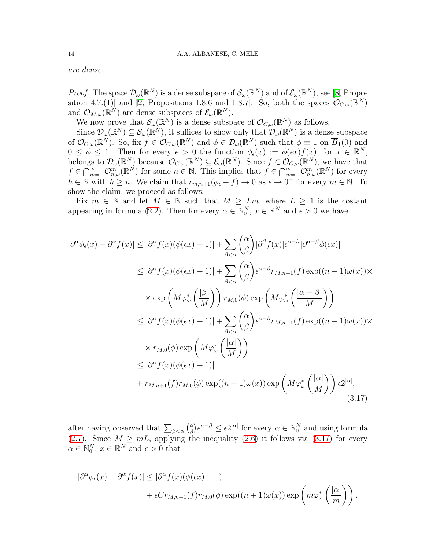are dense.

*Proof.* The space  $\mathcal{D}_{\omega}(\mathbb{R}^N)$  is a dense subspace of  $\mathcal{S}_{\omega}(\mathbb{R}^N)$  and of  $\mathcal{E}_{\omega}(\mathbb{R}^N)$ , see [\[8,](#page-29-6) Propo-sition 4.7.(1)] and [\[2,](#page-29-1) Propositions 1.8.6 and 1.8.7]. So, both the spaces  $\mathcal{O}_{C,\omega}(\mathbb{R}^N)$ and  $\mathcal{O}_{M,\omega}(\mathbb{R}^N)$  are dense subspaces of  $\mathcal{E}_{\omega}(\mathbb{R}^N)$ .

We now prove that  $\mathcal{S}_{\omega}(\mathbb{R}^N)$  is a dense subspace of  $\mathcal{O}_{C,\omega}(\mathbb{R}^N)$  as follows.

Since  $\mathcal{D}_{\omega}(\mathbb{R}^N) \subseteq \mathcal{S}_{\omega}(\mathbb{R}^N)$ , it suffices to show only that  $\mathcal{D}_{\omega}(\mathbb{R}^N)$  is a dense subspace of  $\mathcal{O}_{C,\omega}(\mathbb{R}^N)$ . So, fix  $f \in \mathcal{O}_{C,\omega}(\mathbb{R}^N)$  and  $\phi \in \mathcal{D}_{\omega}(\mathbb{R}^N)$  such that  $\phi \equiv 1$  on  $\overline{B}_1(0)$  and  $0 \leq \phi \leq 1$ . Then for every  $\epsilon > 0$  the function  $\phi_{\epsilon}(x) := \phi(\epsilon x) f(x)$ , for  $x \in \mathbb{R}^N$ , belongs to  $\mathcal{D}_{\omega}(\mathbb{R}^N)$  because  $\mathcal{O}_{C,\omega}(\mathbb{R}^N) \subseteq \mathcal{E}_{\omega}(\mathbb{R}^N)$ . Since  $f \in \mathcal{O}_{C,\omega}(\mathbb{R}^N)$ , we have that  $f \in \bigcap_{m=1}^{\infty} \mathcal{O}_{n,\omega}^m(\mathbb{R}^N)$  for some  $n \in \mathbb{N}$ . This implies that  $f \in \bigcap_{m=1}^{\infty} \mathcal{O}_{n,\omega}^m(\mathbb{R}^N)$  for every  $h \in \mathbb{N}$  with  $h \geq n$ . We claim that  $r_{m,n+1}(\phi_{\epsilon} - f) \to 0$  as  $\epsilon \to 0^+$  for every  $m \in \mathbb{N}$ . To show the claim, we proceed as follows.

Fix  $m \in \mathbb{N}$  and let  $M \in \mathbb{N}$  such that  $M \geq Lm$ , where  $L \geq 1$  is the costant appearing in formula [\(2](#page-1-0).2). Then for every  $\alpha \in \mathbb{N}_0^N$ ,  $x \in \mathbb{R}^N$  and  $\epsilon > 0$  we have

$$
|\partial^{\alpha}\phi_{\epsilon}(x) - \partial^{\alpha}f(x)| \leq |\partial^{\alpha}f(x)(\phi(\epsilon x) - 1)| + \sum_{\beta < \alpha} {\alpha \choose \beta} |\partial^{\beta}f(x)| \epsilon^{\alpha - \beta} |\partial^{\alpha - \beta}\phi(\epsilon x)|
$$
  
\n
$$
\leq |\partial^{\alpha}f(x)(\phi(\epsilon x) - 1)| + \sum_{\beta < \alpha} {\alpha \choose \beta} \epsilon^{\alpha - \beta} r_{M,n+1}(f) \exp((n+1)\omega(x)) \times
$$
  
\n
$$
\times \exp\left(M\varphi_{\omega}^{*}\left(\frac{|\beta|}{M}\right)\right) r_{M,0}(\phi) \exp\left(M\varphi_{\omega}^{*}\left(\frac{|\alpha - \beta|}{M}\right)\right)
$$
  
\n
$$
\leq |\partial^{\alpha}f(x)(\phi(\epsilon x) - 1)| + \sum_{\beta < \alpha} {\alpha \choose \beta} \epsilon^{\alpha - \beta} r_{M,n+1}(f) \exp((n+1)\omega(x)) \times
$$
  
\n
$$
\times r_{M,0}(\phi) \exp\left(M\varphi_{\omega}^{*}\left(\frac{|\alpha|}{M}\right)\right)
$$
  
\n
$$
\leq |\partial^{\alpha}f(x)(\phi(\epsilon x) - 1)|
$$
  
\n
$$
+ r_{M,n+1}(f)r_{M,0}(\phi) \exp((n+1)\omega(x)) \exp\left(M\varphi_{\omega}^{*}\left(\frac{|\alpha|}{M}\right)\right) \epsilon 2^{|\alpha|},
$$
  
\n(3.17)

after having observed that  $\sum_{\beta<\alpha} \binom{\alpha}{\beta}$  $\alpha_{\beta}^{\alpha}$ ) $\epsilon^{\alpha-\beta} \leq \epsilon 2^{|\alpha|}$  for every  $\alpha \in \mathbb{N}_{0}^{N}$  and using formula [\(2.7\)](#page-2-1). Since  $M \geq mL$ , applying the inequality (2.[6\)](#page-2-2) it follows via [\(3.17\)](#page-13-0) for every  $\alpha \in \mathbb{N}_{0}^{N}, x \in \mathbb{R}^{N}$  and  $\epsilon > 0$  that

<span id="page-13-0"></span>
$$
\begin{aligned} |\partial^{\alpha}\phi_{\epsilon}(x) - \partial^{\alpha}f(x)| &\leq |\partial^{\alpha}f(x)(\phi(\epsilon x) - 1)| \\ &+ \epsilon Cr_{M,n+1}(f)r_{M,0}(\phi)\exp((n+1)\omega(x))\exp\left(m\varphi_{\omega}^{*}\left(\frac{|\alpha|}{m}\right)\right). \end{aligned}
$$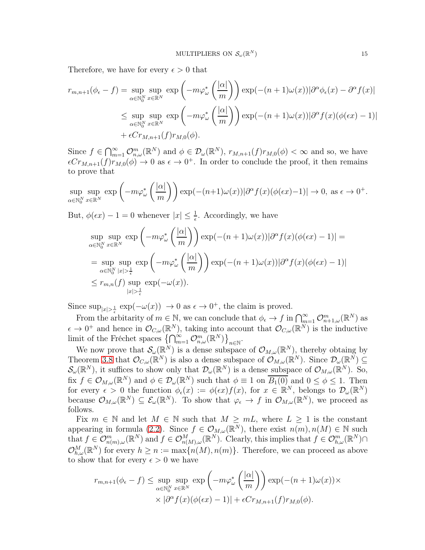Therefore, we have for every  $\epsilon > 0$  that

$$
r_{m,n+1}(\phi_{\epsilon} - f) = \sup_{\alpha \in \mathbb{N}_{0}^{N}} \sup_{x \in \mathbb{R}^{N}} \exp\left(-m\varphi_{\omega}^{*}\left(\frac{|\alpha|}{m}\right)\right) \exp(-(n+1)\omega(x))|\partial^{\alpha}\phi_{\epsilon}(x) - \partial^{\alpha}f(x)|
$$
  

$$
\leq \sup_{\alpha \in \mathbb{N}_{0}^{N}} \sup_{x \in \mathbb{R}^{N}} \exp\left(-m\varphi_{\omega}^{*}\left(\frac{|\alpha|}{m}\right)\right) \exp(-(n+1)\omega(x))|\partial^{\alpha}f(x)(\phi(\epsilon x) - 1)|
$$
  
+  $\epsilon Cr_{M,n+1}(f)r_{M,0}(\phi).$ 

Since  $f \in \bigcap_{m=1}^{\infty} \mathcal{O}_{n,\omega}^m(\mathbb{R}^N)$  and  $\phi \in \mathcal{D}_{\omega}(\mathbb{R}^N)$ ,  $r_{M,n+1}(f)r_{M,0}(\phi) < \infty$  and so, we have  $\epsilon Cr_{M,n+1}(f)r_{M,0}(\phi) \to 0$  as  $\epsilon \to 0^+$ . In order to conclude the proof, it then remains to prove that

$$
\sup_{\alpha \in \mathbb{N}_0^N} \sup_{x \in \mathbb{R}^N} \exp \left( -m \varphi_{\omega}^* \left( \frac{|\alpha|}{m} \right) \right) \exp(-(n+1)\omega(x)) |\partial^{\alpha} f(x)(\phi(\epsilon x) - 1)| \to 0, \text{ as } \epsilon \to 0^+.
$$

But,  $\phi(\epsilon x) - 1 = 0$  whenever  $|x| \leq \frac{1}{\epsilon}$ . Accordingly, we have

$$
\sup_{\alpha \in \mathbb{N}_0^N} \sup_{x \in \mathbb{R}^N} \exp \left( -m \varphi_{\omega}^* \left( \frac{|\alpha|}{m} \right) \right) \exp(-(n+1)\omega(x)) |\partial^{\alpha} f(x)(\phi(\epsilon x) - 1)| =
$$
\n
$$
= \sup_{\alpha \in \mathbb{N}_0^N} \sup_{|x| > \frac{1}{\epsilon}} \exp \left( -m \varphi_{\omega}^* \left( \frac{|\alpha|}{m} \right) \right) \exp(-(n+1)\omega(x)) |\partial^{\alpha} f(x)(\phi(\epsilon x) - 1)|
$$
\n
$$
\leq r_{m,n}(f) \sup_{|x| > \frac{1}{\epsilon}} \exp(-\omega(x)).
$$

Since  $\sup_{|x|>\frac{1}{\epsilon}} \exp(-\omega(x)) \to 0$  as  $\epsilon \to 0^+$ , the claim is proved.

From the arbitraity of  $m \in \mathbb{N}$ , we can conclude that  $\phi_{\epsilon} \to f$  in  $\bigcap_{m=1}^{\infty} \mathcal{O}_{n+1,\omega}^m(\mathbb{R}^N)$  as  $\epsilon \to 0^+$  and hence in  $\mathcal{O}_{C,\omega}(\mathbb{R}^N)$ , taking into account that  $\mathcal{O}_{C,\omega}(\mathbb{R}^N)$  is the inductive limit of the Fréchet spaces  $\left\{\bigcap_{m=1}^{\infty} \mathcal{O}_{n,\omega}^m(\mathbb{R}^N)\right\}_{n\in\mathbb{N}}$ .

We now prove that  $\mathcal{S}_{\omega}(\mathbb{R}^N)$  is a dense subspace of  $\mathcal{O}_{M,\omega}(\mathbb{R}^N)$ , thereby obtaing by Theorem [3.8](#page-10-1) that  $\mathcal{O}_{C,\omega}(\mathbb{R}^N)$  is also a dense subspace of  $\mathcal{O}_{M,\omega}(\mathbb{R}^N)$ . Since  $\mathcal{D}_{\omega}(\mathbb{R}^N) \subseteq$  $\mathcal{S}_{\omega}(\mathbb{R}^N)$ , it suffices to show only that  $\mathcal{D}_{\omega}(\mathbb{R}^N)$  is a dense subspace of  $\mathcal{O}_{M,\omega}(\mathbb{R}^N)$ . So, fix  $f \in \mathcal{O}_{M,\omega}(\mathbb{R}^N)$  and  $\phi \in \mathcal{D}_{\omega}(\mathbb{R}^N)$  such that  $\phi \equiv 1$  on  $\overline{B_1(0)}$  and  $0 \le \phi \le 1$ . Then for every  $\epsilon > 0$  the function  $\phi_{\epsilon}(x) := \phi(\epsilon x) f(x)$ , for  $x \in \mathbb{R}^N$ , belongs to  $\mathcal{D}_{\omega}(\mathbb{R}^N)$ because  $\mathcal{O}_{M,\omega}(\mathbb{R}^N) \subseteq \mathcal{E}_{\omega}(\mathbb{R}^N)$ . To show that  $\varphi_{\epsilon} \to f$  in  $\mathcal{O}_{M,\omega}(\mathbb{R}^N)$ , we proceed as follows.

Fix  $m \in \mathbb{N}$  and let  $M \in \mathbb{N}$  such that  $M \geq mL$ , where  $L \geq 1$  is the constant appearing in formula (2.[2\)](#page-1-0). Since  $f \in \mathcal{O}_{M,\omega}(\mathbb{R}^N)$ , there exist  $n(m), n(M) \in \mathbb{N}$  such that  $f \in \mathcal{O}_{n(m),\omega}^m(\mathbb{R}^N)$  and  $f \in \mathcal{O}_{n(M),\omega}^M(\mathbb{R}^N)$ . Clearly, this implies that  $f \in \mathcal{O}_{h,\omega}^m(\mathbb{R}^N) \cap$  $\mathcal{O}_{h,\omega}^M(\mathbb{R}^N)$  for every  $h \geq n := \max\{n(M), n(m)\}\$ . Therefore, we can proceed as above to show that for every  $\epsilon > 0$  we have

$$
r_{m,n+1}(\phi_{\epsilon} - f) \leq \sup_{\alpha \in \mathbb{N}_{0}^{N}} \sup_{x \in \mathbb{R}^{N}} \exp\left(-m\varphi_{\omega}^{*}\left(\frac{|\alpha|}{m}\right)\right) \exp(-(n+1)\omega(x)) \times
$$

$$
\times |\partial^{\alpha} f(x)(\phi(\epsilon x) - 1)| + \epsilon Cr_{M,n+1}(f)r_{M,0}(\phi).
$$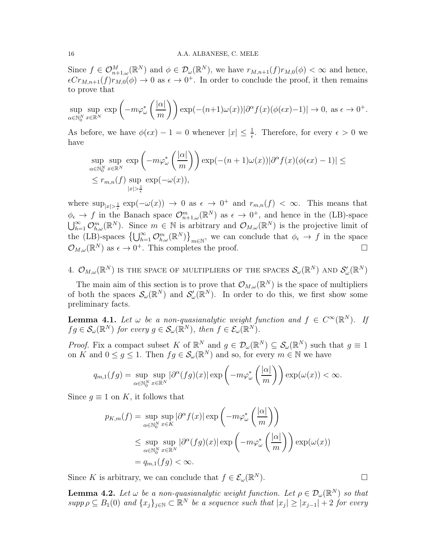### 16 A.A. ALBANESE, C. MELE

Since  $f \in \mathcal{O}_{n+1,\omega}^M(\mathbb{R}^N)$  and  $\phi \in \mathcal{D}_{\omega}(\mathbb{R}^N)$ , we have  $r_{M,n+1}(f)r_{M,0}(\phi) < \infty$  and hence,  $\epsilon Cr_{M,n+1}(f)r_{M,0}(\phi) \to 0$  as  $\epsilon \to 0^+$ . In order to conclude the proof, it then remains to prove that

$$
\sup_{\alpha \in \mathbb{N}_0^N} \sup_{x \in \mathbb{R}^N} \exp \left( -m \varphi_{\omega}^* \left( \frac{|\alpha|}{m} \right) \right) \exp(-(n+1)\omega(x)) |\partial^{\alpha} f(x)(\phi(\epsilon x) - 1)| \to 0, \text{ as } \epsilon \to 0^+.
$$

As before, we have  $\phi(\epsilon x) - 1 = 0$  whenever  $|x| \leq \frac{1}{\epsilon}$ . Therefore, for every  $\epsilon > 0$  we have

$$
\sup_{\alpha \in \mathbb{N}_0^N} \sup_{x \in \mathbb{R}^N} \exp \left( -m \varphi_{\omega}^* \left( \frac{|\alpha|}{m} \right) \right) \exp(-(n+1)\omega(x)) |\partial^{\alpha} f(x)(\phi(\epsilon x) - 1)| \le
$$
  

$$
\le r_{m,n}(f) \sup_{|x| > \frac{1}{\epsilon}} \exp(-\omega(x)),
$$

where  $\sup_{|x|>\frac{1}{\epsilon}} \exp(-\omega(x)) \to 0$  as  $\epsilon \to 0^+$  and  $r_{m,n}(f) < \infty$ . This means that  $\phi_{\epsilon} \to f$  in the Banach space  $\mathcal{O}_{n+1,\omega}^m(\mathbb{R}^N)$  as  $\epsilon \to 0^+$ , and hence in the (LB)-space  $\bigcup_{h=1}^{\infty} \mathcal{O}_{h,\omega}^m(\mathbb{R}^N)$ . Since  $m \in \mathbb{N}$  is arbitrary and  $\mathcal{O}_{M,\omega}(\mathbb{R}^N)$  is the projective limit of the (LB)-spaces  $\{\bigcup_{h=1}^{\infty} \mathcal{O}_{h,\omega}^m(\mathbb{R}^N)\}_{m\in\mathbb{N}}$ , we can conclude that  $\phi_{\epsilon} \to f$  in the space  $\mathcal{O}_{M,\omega}(\mathbb{R}^N)$  as  $\epsilon \to 0^+$ . This completes the proof.

4.  $\mathcal{O}_{M,\omega}(\mathbb{R}^N)$  is the space of multipliers of the spaces  $\mathcal{S}_{\omega}(\mathbb{R}^N)$  and  $\mathcal{S}'_{\omega}(\mathbb{R}^N)$ 

The main aim of this section is to prove that  $\mathcal{O}_{M,\omega}(\mathbb{R}^N)$  is the space of multipliers of both the spaces  $\mathcal{S}_{\omega}(\mathbb{R}^N)$  and  $\mathcal{S}'_{\omega}(\mathbb{R}^N)$ . In order to do this, we first show some preliminary facts.

<span id="page-15-1"></span>**Lemma 4.1.** Let  $\omega$  be a non-quasianalytic weight function and  $f \in C^{\infty}(\mathbb{R}^{N})$ . If  $fg \in \mathcal{S}_{\omega}(\mathbb{R}^N)$  for every  $g \in \mathcal{S}_{\omega}(\mathbb{R}^N)$ , then  $f \in \mathcal{E}_{\omega}(\mathbb{R}^N)$ .

*Proof.* Fix a compact subset K of  $\mathbb{R}^N$  and  $g \in \mathcal{D}_{\omega}(\mathbb{R}^N) \subseteq \mathcal{S}_{\omega}(\mathbb{R}^N)$  such that  $g \equiv 1$ on K and  $0 \le g \le 1$ . Then  $fg \in \mathcal{S}_{\omega}(\mathbb{R}^N)$  and so, for every  $m \in \mathbb{N}$  we have

$$
q_{m,1}(fg) = \sup_{\alpha \in \mathbb{N}_0^N} \sup_{x \in \mathbb{R}^N} |\partial^{\alpha}(fg)(x)| \exp\left(-m\varphi_{\omega}^*\left(\frac{|\alpha|}{m}\right)\right) \exp(\omega(x)) < \infty.
$$

Since  $q \equiv 1$  on K, it follows that

$$
p_{K,m}(f) = \sup_{\alpha \in \mathbb{N}_0^N} \sup_{x \in K} |\partial^{\alpha} f(x)| \exp\left(-m\varphi_{\omega}^*\left(\frac{|\alpha|}{m}\right)\right)
$$
  

$$
\leq \sup_{\alpha \in \mathbb{N}_0^N} \sup_{x \in \mathbb{R}^N} |\partial^{\alpha} (fg)(x)| \exp\left(-m\varphi_{\omega}^*\left(\frac{|\alpha|}{m}\right)\right) \exp(\omega(x))
$$
  

$$
= q_{m,1}(fg) < \infty.
$$

Since K is arbitrary, we can conclude that  $f \in \mathcal{E}_{\omega}(\mathbb{R}^N)$ .  $N$ ).

<span id="page-15-0"></span>**Lemma 4.2.** Let  $\omega$  be a non-quasianalytic weight function. Let  $\rho \in \mathcal{D}_{\omega}(\mathbb{R}^N)$  so that  $supp \rho \subseteq B_1(0)$  and  $\{x_j\}_{j \in \mathbb{N}} \subset \mathbb{R}^N$  be a sequence such that  $|x_j| \geq |x_{j-1}| + 2$  for every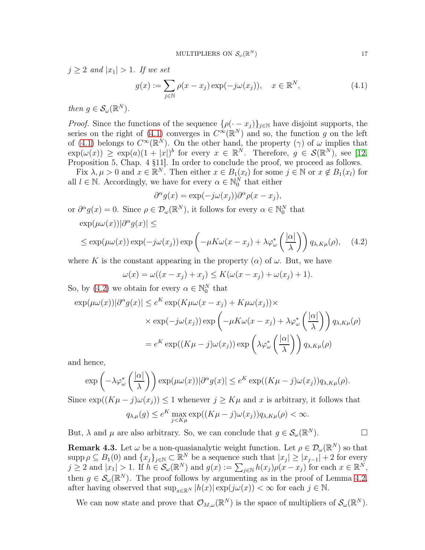$j \geq 2$  and  $|x_1| > 1$ . If we set

<span id="page-16-0"></span>
$$
g(x) := \sum_{j \in \mathbb{N}} \rho(x - x_j) \exp(-j\omega(x_j)), \quad x \in \mathbb{R}^N,
$$
\n(4.1)

then  $g \in \mathcal{S}_{\omega}(\mathbb{R}^N)$ .

*Proof.* Since the functions of the sequence  $\{\rho(\cdot - x_j)\}_{j \in \mathbb{N}}$  have disjoint supports, the series on the right of [\(4.1\)](#page-16-0) converges in  $C^{\infty}(\mathbb{R}^{N})$  and so, the function g on the left of [\(4.1\)](#page-16-0) belongs to  $C^{\infty}(\mathbb{R}^N)$ . On the other hand, the property ( $\gamma$ ) of  $\omega$  implies that  $\exp(\omega(x)) \geq \exp(a)(1+|x|)^b$  for every  $x \in \mathbb{R}^N$ . Therefore,  $g \in \mathcal{S}(\mathbb{R}^N)$ , see [\[12,](#page-30-17) Proposition 5, Chap. 4 §11]. In order to conclude the proof, we proceed as follows.

Fix  $\lambda, \mu > 0$  and  $x \in \mathbb{R}^N$ . Then either  $x \in B_1(x_l)$  for some  $j \in \mathbb{N}$  or  $x \notin B_1(x_l)$  for all  $l \in \mathbb{N}$ . Accordingly, we have for every  $\alpha \in \mathbb{N}_0^N$  that either

$$
\partial^{\alpha} g(x) = \exp(-j\omega(x_j))\partial^{\alpha} \rho(x - x_j),
$$

or  $\partial^{\alpha} g(x) = 0$ . Since  $\rho \in \mathcal{D}_{\omega}(\mathbb{R}^N)$ , it follows for every  $\alpha \in \mathbb{N}_0^N$  that

$$
\exp(\mu\omega(x))|\partial^{\alpha}g(x)| \le
$$

$$
\leq \exp(\mu \omega(x)) \exp(-j\omega(x_j)) \exp\left(-\mu K \omega(x - x_j) + \lambda \varphi_{\omega}^* \left(\frac{|\alpha|}{\lambda}\right)\right) q_{\lambda, K\mu}(\rho), \quad (4.2)
$$

where K is the constant appearing in the property  $(\alpha)$  of  $\omega$ . But, we have

$$
\omega(x) = \omega((x - x_j) + x_j) \le K(\omega(x - x_j) + \omega(x_j) + 1).
$$

So, by [\(4.2\)](#page-16-1) we obtain for every  $\alpha \in \mathbb{N}_0^N$  that

$$
\exp(\mu \omega(x))|\partial^{\alpha}g(x)| \le e^{K} \exp(K\mu \omega(x - x_{j}) + K\mu \omega(x_{j})) \times
$$
  
 
$$
\times \exp(-j\omega(x_{j})) \exp\left(-\mu K \omega(x - x_{j}) + \lambda \varphi_{\omega}^{*}\left(\frac{|\alpha|}{\lambda}\right)\right) q_{\lambda,K\mu}(\rho)
$$
  

$$
= e^{K} \exp((K\mu - j)\omega(x_{j})) \exp\left(\lambda \varphi_{\omega}^{*}\left(\frac{|\alpha|}{\lambda}\right)\right) q_{\lambda,K\mu}(\rho)
$$

and hence,

$$
\exp\left(-\lambda \varphi_{\omega}^*\left(\frac{|\alpha|}{\lambda}\right)\right) \exp(\mu \omega(x))|\partial^{\alpha}g(x)| \leq e^{K} \exp((K\mu - j)\omega(x_j))q_{\lambda,K\mu}(\rho).
$$

Since  $\exp((K\mu - j)\omega(x_j)) \leq 1$  whenever  $j \geq K\mu$  and x is arbitrary, it follows that  $q_{\lambda,\mu}(g) \leq e^{K} \max_{j \leq K\mu} \exp((K\mu - j)\omega(x_j)) q_{\lambda,K\mu}(\rho) < \infty.$ 

But,  $\lambda$  and  $\mu$  are also arbitrary. So, we can conclude that  $g \in \mathcal{S}_{\omega}(\mathbb{R}^N)$ .

<span id="page-16-1"></span>

<span id="page-16-2"></span>**Remark 4.3.** Let  $\omega$  be a non-quasianalytic weight function. Let  $\rho \in \mathcal{D}_{\omega}(\mathbb{R}^N)$  so that supp  $\rho \subseteq B_1(0)$  and  $\{x_j\}_{j\in\mathbb{N}} \subset \mathbb{R}^N$  be a sequence such that  $|x_j| \ge |x_{j-1}| + 2$  for every  $j \geq 2$  and  $|x_1| > 1$ . If  $h \in \mathcal{S}_{\omega}(\mathbb{R}^N)$  and  $g(x) := \sum_{j \in \mathbb{N}} h(x_j) \rho(x - x_j)$  for each  $x \in \mathbb{R}^N$ , then  $g \in \mathcal{S}_{\omega}(\mathbb{R}^N)$ . The proof follows by argumenting as in the proof of Lemma [4.2,](#page-15-0) after having observed that  $\sup_{x \in \mathbb{R}^N} |h(x)| \exp(j\omega(x)) < \infty$  for each  $j \in \mathbb{N}$ .

We can now state and prove that  $\mathcal{O}_{M,\omega}(\mathbb{R}^N)$  is the space of multipliers of  $\mathcal{S}_{\omega}(\mathbb{R}^N)$ .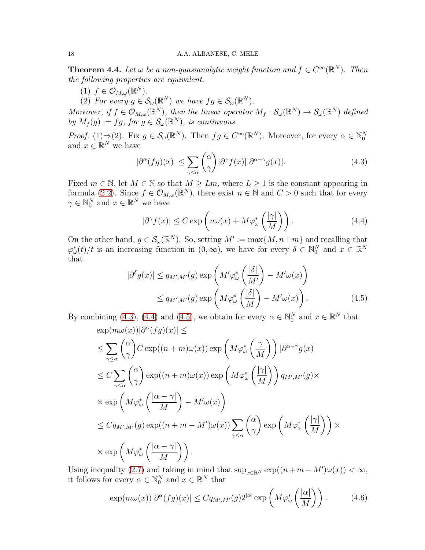<span id="page-17-4"></span>**Theorem 4.4.** Let  $\omega$  be a non-quasianalytic weight function and  $f \in C^{\infty}(\mathbb{R}^{N})$ . Then the following properties are equivalent.

(1)  $f \in \mathcal{O}_{M,\omega}(\mathbb{R}^N)$ .

(2) For every  $g \in \mathcal{S}_{\omega}(\mathbb{R}^N)$  we have  $fg \in \mathcal{S}_{\omega}(\mathbb{R}^N)$ .

Moreover, if  $f \in \mathcal{O}_{M,\omega}(\mathbb{R}^N)$ , then the linear operator  $M_f: \mathcal{S}_{\omega}(\mathbb{R}^N) \to \mathcal{S}_{\omega}(\mathbb{R}^N)$  defined by  $M_f(g) := fg$ , for  $g \in \mathcal{S}_{\omega}(\mathbb{R}^N)$ , is continuous.

*Proof.* (1) $\Rightarrow$ (2). Fix  $g \in S_{\omega}(\mathbb{R}^N)$ . Then  $fg \in C^{\infty}(\mathbb{R}^N)$ . Moreover, for every  $\alpha \in \mathbb{N}_0^N$  and  $x \in \mathbb{R}^N$  we have

<span id="page-17-0"></span>
$$
|\partial^{\alpha}(fg)(x)| \leq \sum_{\gamma \leq \alpha} {\alpha \choose \gamma} |\partial^{\gamma} f(x)| |\partial^{\alpha - \gamma} g(x)|. \tag{4.3}
$$

Fixed  $m \in \mathbb{N}$ , let  $M \in \mathbb{N}$  so that  $M \geq Lm$ , where  $L \geq 1$  is the constant appearing in formula [\(2.2\)](#page-1-0). Since  $f \in \mathcal{O}_{M,\omega}(\mathbb{R}^N)$ , there exist  $n \in \mathbb{N}$  and  $C > 0$  such that for every  $\gamma \in \mathbb{N}_0^N$  and  $x \in \mathbb{R}^N$  we have

<span id="page-17-2"></span><span id="page-17-1"></span>
$$
|\partial^{\gamma} f(x)| \le C \exp\left(n\omega(x) + M\varphi_{\omega}^*\left(\frac{|\gamma|}{M}\right)\right). \tag{4.4}
$$

On the other hand,  $g \in \mathcal{S}_{\omega}(\mathbb{R}^N)$ . So, setting  $M' := \max\{M, n+m\}$  and recalling that  $\varphi_{\omega}^*(t)/t$  is an increasing function in  $(0,\infty)$ , we have for every  $\delta \in \mathbb{N}_0^N$  and  $x \in \mathbb{R}^N$ that

$$
|\partial^{\delta} g(x)| \le q_{M',M'}(g) \exp\left(M' \varphi_{\omega}^* \left(\frac{|\delta|}{M'}\right) - M' \omega(x)\right)
$$
  

$$
\le q_{M',M'}(g) \exp\left(M \varphi_{\omega}^* \left(\frac{|\delta|}{M}\right) - M' \omega(x)\right).
$$
 (4.5)

By combining (4.[3\)](#page-17-0), [\(4](#page-17-1).4) and (4.[5\)](#page-17-2), we obtain for every  $\alpha \in \mathbb{N}_0^N$  and  $x \in \mathbb{R}^N$  that

$$
\exp(m\omega(x))|\partial^{\alpha}(fg)(x)| \le
$$
\n
$$
\leq \sum_{\gamma \leq \alpha} {\alpha \choose \gamma} C \exp((n+m)\omega(x)) \exp\left(M\varphi_{\omega}^{*}\left(\frac{|\gamma|}{M}\right)\right) |\partial^{\alpha-\gamma}g(x)|
$$
\n
$$
\leq C \sum_{\gamma \leq \alpha} {\alpha \choose \gamma} \exp((n+m)\omega(x)) \exp\left(M\varphi_{\omega}^{*}\left(\frac{|\gamma|}{M}\right)\right) q_{M',M'}(g) \times
$$
\n
$$
\times \exp\left(M\varphi_{\omega}^{*}\left(\frac{|\alpha-\gamma|}{M}\right)-M'\omega(x)\right)
$$
\n
$$
\leq C q_{M',M'}(g) \exp((n+m-M')\omega(x)) \sum_{\gamma \leq \alpha} {\alpha \choose \gamma} \exp\left(M\varphi_{\omega}^{*}\left(\frac{|\gamma|}{M}\right)\right) \times
$$
\n
$$
\times \exp\left(M\varphi_{\omega}^{*}\left(\frac{|\alpha-\gamma|}{M}\right)\right).
$$

Using inequality [\(2.7\)](#page-2-1) and taking in mind that  $\sup_{x \in \mathbb{R}^N} \exp((n+m-M')\omega(x)) < \infty$ , it follows for every  $\alpha \in \mathbb{N}_0^N$  and  $x \in \mathbb{R}^N$  that

<span id="page-17-3"></span>
$$
\exp(m\omega(x))|\partial^{\alpha}(fg)(x)| \leq C q_{M',M'}(g)2^{|\alpha|}\exp\left(M\varphi_{\omega}^*\left(\frac{|\alpha|}{M}\right)\right). \tag{4.6}
$$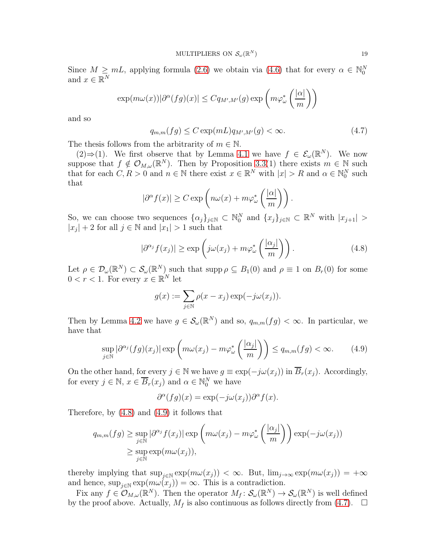Since  $M \geq mL$ , applying formula [\(2.6\)](#page-2-2) we obtain via [\(4.6\)](#page-17-3) that for every  $\alpha \in \mathbb{N}_0^N$ and  $x \in \mathbb{R}^N$ 

$$
\exp(m\omega(x))|\partial^{\alpha}(fg)(x)| \leq Cq_{M',M'}(g)\exp\left(m\varphi_{\omega}^*\left(\frac{|\alpha|}{m}\right)\right)
$$

and so

<span id="page-18-2"></span>
$$
q_{m,m}(fg) \le C \exp(mL) q_{M',M'}(g) < \infty. \tag{4.7}
$$

The thesis follows from the arbitrarity of  $m \in \mathbb{N}$ .

(2)⇒(1). We first observe that by Lemma [4.1](#page-15-1) we have  $f \in \mathcal{E}_{\omega}(\mathbb{R}^N)$ . We now suppose that  $f \notin \mathcal{O}_{M,\omega}(\mathbb{R}^N)$ . Then by Proposition [3.3\(](#page-6-1)1) there exists  $m \in \mathbb{N}$  such that for each  $C, R > 0$  and  $n \in \mathbb{N}$  there exist  $x \in \mathbb{R}^N$  with  $|x| > R$  and  $\alpha \in \mathbb{N}_0^N$  such that

$$
|\partial^{\alpha} f(x)| \ge C \exp\left(n\omega(x) + m\varphi_{\omega}^*\left(\frac{|\alpha|}{m}\right)\right).
$$

So, we can choose two sequences  $\{\alpha_j\}_{j\in\mathbb{N}}\subset\mathbb{N}_0^N$  and  $\{x_j\}_{j\in\mathbb{N}}\subset\mathbb{R}^N$  with  $|x_{j+1}|>$  $|x_j| + 2$  for all  $j \in \mathbb{N}$  and  $|x_1| > 1$  such that

<span id="page-18-0"></span>
$$
|\partial^{\alpha_j} f(x_j)| \ge \exp\left(j\omega(x_j) + m\varphi^*_{\omega}\left(\frac{|\alpha_j|}{m}\right)\right). \tag{4.8}
$$

Let  $\rho \in \mathcal{D}_{\omega}(\mathbb{R}^N) \subset \mathcal{S}_{\omega}(\mathbb{R}^N)$  such that  $\text{supp}\,\rho \subseteq B_1(0)$  and  $\rho \equiv 1$  on  $B_r(0)$  for some  $0 < r < 1$ . For every  $x \in \mathbb{R}^N$  let

$$
g(x) := \sum_{j \in \mathbb{N}} \rho(x - x_j) \exp(-j\omega(x_j)).
$$

Then by Lemma [4.2](#page-15-0) we have  $g \in \mathcal{S}_{\omega}(\mathbb{R}^N)$  and so,  $q_{m,m}(fg) < \infty$ . In particular, we have that

<span id="page-18-1"></span>
$$
\sup_{j \in \mathbb{N}} |\partial^{\alpha_j}(fg)(x_j)| \exp\left(m\omega(x_j) - m\varphi^*_{\omega}\left(\frac{|\alpha_j|}{m}\right)\right) \le q_{m,m}(fg) < \infty. \tag{4.9}
$$

On the other hand, for every  $j \in \mathbb{N}$  we have  $g \equiv \exp(-j\omega(x_j))$  in  $\overline{B}_r(x_j)$ . Accordingly, for every  $j \in \mathbb{N}$ ,  $x \in \overline{B}_r(x_j)$  and  $\alpha \in \mathbb{N}_0^N$  we have

$$
\partial^{\alpha}(fg)(x) = \exp(-j\omega(x_j))\partial^{\alpha}f(x).
$$

Therefore, by [\(4.8\)](#page-18-0) and [\(4.9\)](#page-18-1) it follows that

$$
q_{m,m}(fg) \ge \sup_{j \in \mathbb{N}} |\partial^{\alpha_j} f(x_j)| \exp\left(m\omega(x_j) - m\varphi_{\omega}^*\left(\frac{|\alpha_j|}{m}\right)\right) \exp(-j\omega(x_j))
$$
  

$$
\ge \sup_{j \in \mathbb{N}} \exp(m\omega(x_j)),
$$

thereby implying that  $\sup_{j\in\mathbb{N}} \exp(m\omega(x_j)) < \infty$ . But,  $\lim_{j\to\infty} \exp(m\omega(x_j)) = +\infty$ and hence,  $\sup_{j\in\mathbb{N}} \exp(m\omega(x_j)) = \infty$ . This is a contradiction.

Fix any  $f \in \mathcal{O}_{M,\omega}(\mathbb{R}^N)$ . Then the operator  $M_f: \mathcal{S}_{\omega}(\mathbb{R}^N) \to \mathcal{S}_{\omega}(\mathbb{R}^N)$  is well defined by the proof above. Actually,  $M_f$  is also continuous as follows directly from [\(4.7\)](#page-18-2).  $\Box$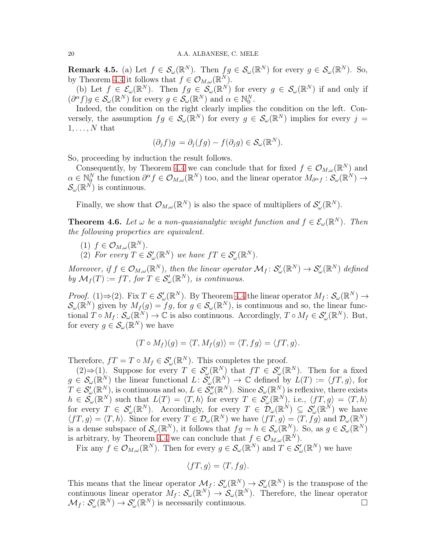**Remark 4.5.** (a) Let  $f \in \mathcal{S}_{\omega}(\mathbb{R}^N)$ . Then  $fg \in \mathcal{S}_{\omega}(\mathbb{R}^N)$  for every  $g \in \mathcal{S}_{\omega}(\mathbb{R}^N)$ . So, by Theorem [4.4](#page-17-4) it follows that  $f \in \mathcal{O}_{M,\omega}(\mathbb{R}^N)$ .

(b) Let  $f \in \mathcal{E}_{\omega}(\mathbb{R}^N)$ . Then  $fg \in \mathcal{S}_{\omega}(\mathbb{R}^N)$  for every  $g \in \mathcal{S}_{\omega}(\mathbb{R}^N)$  if and only if  $(\partial^{\alpha} f)g \in \mathcal{S}_{\omega}(\mathbb{R}^{N})$  for every  $g \in \mathcal{S}_{\omega}(\mathbb{R}^{N})$  and  $\alpha \in \mathbb{N}_{0}^{N}$ .

Indeed, the condition on the right clearly implies the condition on the left. Conversely, the assumption  $fg \in \mathcal{S}_{\omega}(\mathbb{R}^N)$  for every  $g \in \mathcal{S}_{\omega}(\mathbb{R}^N)$  implies for every  $j =$  $1, \ldots, N$  that

$$
(\partial_j f)g = \partial_j (fg) - f(\partial_j g) \in \mathcal{S}_{\omega}(\mathbb{R}^N).
$$

So, proceeding by induction the result follows.

Consequently, by Theorem [4.4](#page-17-4) we can conclude that for fixed  $f \in \mathcal{O}_{M,\omega}(\mathbb{R}^N)$  and  $\alpha \in \mathbb{N}_0^N$  the function  $\partial^{\alpha} f \in \mathcal{O}_{M,\omega}(\mathbb{R}^N)$  too, and the linear operator  $M_{\partial^{\alpha} f}: \mathcal{S}_{\omega}(\mathbb{R}^N) \to$  $\mathcal{S}_{\omega}(\mathbb{R}^N)$  is continuous.

Finally, we show that  $\mathcal{O}_{M,\omega}(\mathbb{R}^N)$  is also the space of multipliers of  $\mathcal{S}'_{\omega}(\mathbb{R}^N)$ .

**Theorem 4.6.** Let  $\omega$  be a non-quasianalytic weight function and  $f \in \mathcal{E}_{\omega}(\mathbb{R}^N)$ . Then the following properties are equivalent.

- (1)  $f \in \mathcal{O}_{M,\omega}(\mathbb{R}^N)$ .
- (2) For every  $T \in \mathcal{S}'_{\omega}(\mathbb{R}^N)$  we have  $fT \in \mathcal{S}'_{\omega}(\mathbb{R}^N)$ .

Moreover, if  $f \in \mathcal{O}_{M,\omega}(\mathbb{R}^N)$ , then the linear operator  $\mathcal{M}_f \colon \mathcal{S}'_{\omega}(\mathbb{R}^N) \to \mathcal{S}'_{\omega}(\mathbb{R}^N)$  defined by  $\mathcal{M}_f(T) := fT$ , for  $T \in \mathcal{S}'_{\omega}(\mathbb{R}^N)$ , is continuous.

*Proof.* (1)⇒(2). Fix  $T \in \mathcal{S}'_{\omega}(\mathbb{R}^N)$ . By Theorem [4.4](#page-17-4) the linear operator  $M_f: \mathcal{S}_{\omega}(\mathbb{R}^N) \to$  $\mathcal{S}_{\omega}(\mathbb{R}^N)$  given by  $M_f(g) = fg$ , for  $g \in \mathcal{S}_{\omega}(\mathbb{R}^N)$ , is continuous and so, the linear functional  $T \circ M_f : \mathcal{S}_{\omega}(\mathbb{R}^N) \to \mathbb{C}$  is also continuous. Accordingly,  $T \circ M_f \in \mathcal{S}'_{\omega}(\mathbb{R}^N)$ . But, for every  $g \in \mathcal{S}_{\omega}(\mathbb{R}^N)$  we have

$$
(T \circ M_f)(g) = \langle T, M_f(g) \rangle = \langle T, fg \rangle = \langle fT, g \rangle.
$$

Therefore,  $fT = T \circ M_f \in \mathcal{S}'_{\omega}(\mathbb{R}^N)$ . This completes the proof.

(2)⇒(1). Suppose for every  $T \in \mathcal{S}'_{\omega}(\mathbb{R}^N)$  that  $fT \in \mathcal{S}'_{\omega}(\mathbb{R}^N)$ . Then for a fixed  $g \in \mathcal{S}_{\omega}(\mathbb{R}^N)$  the linear functional  $L: \mathcal{S}'_{\omega}(\mathbb{R}^N) \to \mathbb{C}$  defined by  $L(T) := \langle fT, g \rangle$ , for  $T \in \mathcal{S}'_{\omega}(\mathbb{R}^N)$ , is continuous and so,  $L \in \tilde{\mathcal{S}}''_{\omega}(\mathbb{R}^N)$ . Since  $\mathcal{S}_{\omega}(\mathbb{R}^N)$  is reflexive, there exists  $h \in \tilde{\mathcal{S}_{\omega}}(\mathbb{R}^N)$  such that  $L(T) = \langle T, h \rangle$  for every  $T \in \mathcal{S}'_{\omega}(\mathbb{R}^N)$ , i.e.,  $\langle f, g \rangle = \langle T, h \rangle$ for every  $T \in \mathcal{S}'_{\omega}(\mathbb{R}^N)$ . Accordingly, for every  $T \in \overline{\mathcal{D}}_{\omega}(\mathbb{R}^N) \subseteq \mathcal{S}'_{\omega}(\mathbb{R}^N)$  we have  $\langle f, g \rangle = \langle T, h \rangle$ . Since for every  $T \in \mathcal{D}_{\omega}(\mathbb{R}^N)$  we have  $\langle f, g \rangle = \langle T, \tilde{fg} \rangle$  and  $\mathcal{D}_{\omega}(\mathbb{R}^N)$ is a dense subspace of  $\mathcal{S}_{\omega}(\mathbb{R}^N)$ , it follows that  $fg = h \in \mathcal{S}_{\omega}(\mathbb{R}^N)$ . So, as  $g \in \mathcal{S}_{\omega}(\mathbb{R}^N)$ is arbitrary, by Theorem [4.4](#page-17-4) we can conclude that  $f \in \mathcal{O}_{M,\omega}(\mathbb{R}^N)$ .

Fix any  $f \in \mathcal{O}_{M,\omega}(\mathbb{R}^N)$ . Then for every  $g \in \mathcal{S}_{\omega}(\mathbb{R}^N)$  and  $T \in \mathcal{S}'_{\omega}(\mathbb{R}^N)$  we have

$$
\langle fT, g \rangle = \langle T, fg \rangle.
$$

This means that the linear operator  $\mathcal{M}_f: \mathcal{S}'_{\omega}(\mathbb{R}^N) \to \mathcal{S}'_{\omega}(\mathbb{R}^N)$  is the transpose of the continuous linear operator  $M_f: \mathcal{S}_{\omega}(\mathbb{R}^N) \to \mathcal{S}_{\omega}(\mathbb{R}^N)$ . Therefore, the linear operator  $\mathcal{M}_f: \mathcal{S}'_{\omega}(\mathbb{R}^N) \to \mathcal{S}'_{\omega}(\mathbb{R}^N)$  is necessarily continuous.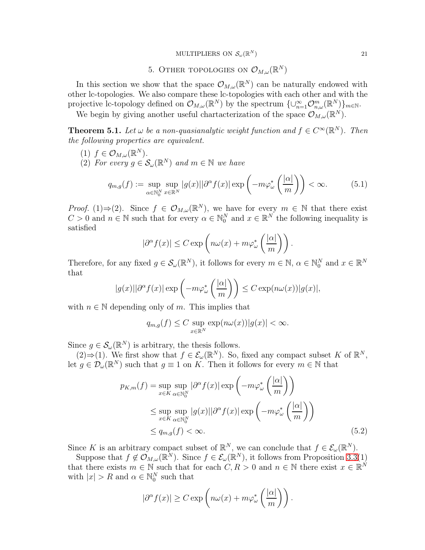## MULTIPLIERS ON  $\mathcal{S}_{\omega}(\mathbb{R}^N)$

# 5. Other topologies on  $\mathcal{O}_{M,\omega}(\mathbb{R}^N)$

In this section we show that the space  $\mathcal{O}_{M,\omega}(\mathbb{R}^N)$  can be naturally endowed with other lc-topologies. We also compare these lc-topologies with each other and with the projective lc-topology defined on  $\mathcal{O}_{M,\omega}(\mathbb{R}^N)$  by the spectrum  $\{\cup_{n=1}^{\infty}\mathcal{O}_{n,\omega}^m(\mathbb{R}^N)\}_{m\in\mathbb{N}}$ .

We begin by giving another useful chartacterization of the space  $\mathcal{O}_{M,\omega}(\mathbb{R}^N)$ .

<span id="page-20-0"></span>**Theorem 5.1.** Let  $\omega$  be a non-quasianalytic weight function and  $f \in C^{\infty}(\mathbb{R}^{N})$ . Then the following properties are equivalent.

- (1)  $f \in \mathcal{O}_{M,\omega}(\mathbb{R}^N)$ .
- (2) For every  $g \in \mathcal{S}_{\omega}(\mathbb{R}^N)$  and  $m \in \mathbb{N}$  we have

$$
q_{m,g}(f) := \sup_{\alpha \in \mathbb{N}_0^N} \sup_{x \in \mathbb{R}^N} |g(x)| |\partial^{\alpha} f(x)| \exp\left(-m\varphi_{\omega}^*\left(\frac{|\alpha|}{m}\right)\right) < \infty. \tag{5.1}
$$

*Proof.* (1)⇒(2). Since  $f \in \mathcal{O}_{M,\omega}(\mathbb{R}^N)$ , we have for every  $m \in \mathbb{N}$  that there exist  $C > 0$  and  $n \in \mathbb{N}$  such that for every  $\alpha \in \mathbb{N}_0^N$  and  $x \in \mathbb{R}^N$  the following inequality is satisfied

$$
|\partial^{\alpha} f(x)| \leq C \exp\left(n\omega(x) + m\varphi_{\omega}^*\left(\frac{|\alpha|}{m}\right)\right).
$$

Therefore, for any fixed  $g \in \mathcal{S}_{\omega}(\mathbb{R}^N)$ , it follows for every  $m \in \mathbb{N}$ ,  $\alpha \in \mathbb{N}_0^N$  and  $x \in \mathbb{R}^N$ that

$$
|g(x)||\partial^{\alpha} f(x)| \exp\left(-m\varphi_{\omega}^*\left(\frac{|\alpha|}{m}\right)\right) \leq C \exp(n\omega(x))|g(x)|,
$$

with  $n \in \mathbb{N}$  depending only of m. This implies that

$$
q_{m,g}(f) \leq C \sup_{x \in \mathbb{R}^N} \exp(n\omega(x))|g(x)| < \infty.
$$

Since  $g \in \mathcal{S}_{\omega}(\mathbb{R}^N)$  is arbitrary, the thesis follows.

(2)⇒(1). We first show that  $f \in \mathcal{E}_{\omega}(\mathbb{R}^N)$ . So, fixed any compact subset K of  $\mathbb{R}^N$ , let  $g \in \mathcal{D}_{\omega}(\mathbb{R}^N)$  such that  $g \equiv 1$  on K. Then it follows for every  $m \in \mathbb{N}$  that

$$
p_{K,m}(f) = \sup_{x \in K} \sup_{\alpha \in \mathbb{N}_0^N} |\partial^{\alpha} f(x)| \exp\left(-m\varphi_{\omega}^* \left(\frac{|\alpha|}{m}\right)\right)
$$
  
\$\leq\$ sup  $\sup_{x \in K} \sup_{\alpha \in \mathbb{N}_0^N} |g(x)| |\partial^{\alpha} f(x)| \exp\left(-m\varphi_{\omega}^* \left(\frac{|\alpha|}{m}\right)\right)$   
\$\leq\$  $q_{m,g}(f) < \infty$ . (5.2)

Since K is an arbitrary compact subset of  $\mathbb{R}^N$ , we can conclude that  $f \in \mathcal{E}_{\omega}(\mathbb{R}^N)$ .

Suppose that  $f \notin \mathcal{O}_{M,\omega}(\mathbb{R}^N)$ . Since  $f \in \mathcal{E}_{\omega}(\mathbb{R}^N)$ , it follows from Proposition [3.3\(](#page-6-1)1) that there exists  $m \in \mathbb{N}$  such that for each  $C, R > 0$  and  $n \in \mathbb{N}$  there exist  $x \in \mathbb{R}^N$ with  $|x| > R$  and  $\alpha \in \mathbb{N}_0^N$  such that

<span id="page-20-1"></span>
$$
|\partial^{\alpha} f(x)| \ge C \exp\left(n\omega(x) + m\varphi_{\omega}^*\left(\frac{|\alpha|}{m}\right)\right).
$$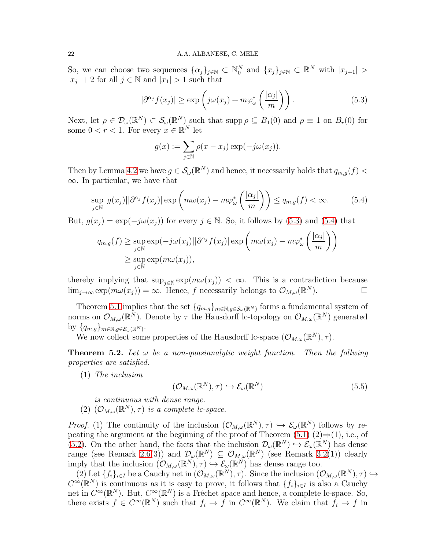So, we can choose two sequences  $\{\alpha_j\}_{j\in\mathbb{N}}\subset\mathbb{N}_0^N$  and  $\{x_j\}_{j\in\mathbb{N}}\subset\mathbb{R}^N$  with  $|x_{j+1}|>$  $|x_j| + 2$  for all  $j \in \mathbb{N}$  and  $|x_1| > 1$  such that

<span id="page-21-0"></span>
$$
|\partial^{\alpha_j} f(x_j)| \ge \exp\left(j\omega(x_j) + m\varphi^*_{\omega}\left(\frac{|\alpha_j|}{m}\right)\right). \tag{5.3}
$$

Next, let  $\rho \in \mathcal{D}_{\omega}(\mathbb{R}^N) \subset \mathcal{S}_{\omega}(\mathbb{R}^N)$  such that  $\text{supp}\,\rho \subseteq B_1(0)$  and  $\rho \equiv 1$  on  $B_r(0)$  for some  $0 < r < 1$ . For every  $x \in \mathbb{R}^N$  let

$$
g(x) := \sum_{j \in \mathbb{N}} \rho(x - x_j) \exp(-j\omega(x_j)).
$$

Then by Lemma [4.2](#page-15-0) we have  $g \in \mathcal{S}_{\omega}(\mathbb{R}^N)$  and hence, it necessarily holds that  $q_{m,g}(f)$  <  $\infty$ . In particular, we have that

<span id="page-21-1"></span>
$$
\sup_{j \in \mathbb{N}} |g(x_j)||\partial^{\alpha_j} f(x_j)| \exp\left(m\omega(x_j) - m\varphi^*_{\omega}\left(\frac{|\alpha_j|}{m}\right)\right) \le q_{m,g}(f) < \infty.
$$
 (5.4)

But,  $g(x_j) = \exp(-j\omega(x_j))$  for every  $j \in \mathbb{N}$ . So, it follows by [\(5.3\)](#page-21-0) and [\(5.4\)](#page-21-1) that

$$
q_{m,g}(f) \ge \sup_{j \in \mathbb{N}} \exp(-j\omega(x_j)||\partial^{\alpha_j} f(x_j)| \exp\left(m\omega(x_j) - m\varphi_{\omega}^*\left(\frac{|\alpha_j|}{m}\right)\right)
$$
  

$$
\ge \sup_{j \in \mathbb{N}} \exp(m\omega(x_j)),
$$

thereby implying that  $\sup_{j\in\mathbb{N}} \exp(m\omega(x_j)) < \infty$ . This is a contradiction because  $\lim_{j\to\infty} \exp(m\omega(x_j)) = \infty$ . Hence, f necessarily belongs to  $\mathcal{O}_{M,\omega}(\mathbb{R}^N)$ .

Theorem [5.1](#page-20-0) implies that the set  ${q_{m,g}}_{m\in\mathbb{N},g\in\mathcal{S}_{\omega}(\mathbb{R}^N)}$  forms a fundamental system of norms on  $\mathcal{O}_{M,\omega}(\mathbb{R}^N)$ . Denote by  $\tau$  the Hausdorff lc-topology on  $\mathcal{O}_{M,\omega}(\mathbb{R}^N)$  generated by  $\{q_{m,g}\}_{m\in\mathbb{N},g\in\mathcal{S}_{\omega}(\mathbb{R}^N)}$ .

We now collect some properties of the Hausdorff lc-space  $(\mathcal{O}_{M,\omega}(\mathbb{R}^N),\tau)$ .

<span id="page-21-2"></span>**Theorem 5.2.** Let  $\omega$  be a non-quasianalytic weight function. Then the follwing properties are satisfied.

(1) The inclusion

$$
(\mathcal{O}_{M,\omega}(\mathbb{R}^N),\tau) \hookrightarrow \mathcal{E}_{\omega}(\mathbb{R}^N)
$$
\n(5.5)

is continuous with dense range.

(2)  $(\mathcal{O}_{M,\omega}(\mathbb{R}^N),\tau)$  is a complete lc-space.

*Proof.* (1) The continuity of the inclusion  $(\mathcal{O}_{M,\omega}(\mathbb{R}^N),\tau) \hookrightarrow \mathcal{E}_{\omega}(\mathbb{R}^N)$  follows by re-peating the argument at the beginning of the proof of Theorem [\(5.1\)](#page-20-0)  $(2) \Rightarrow (1)$ , i.e., of [\(5.2\)](#page-20-1). On the other hand, the facts that the inclusion  $\mathcal{D}_{\omega}(\mathbb{R}^N) \to \mathcal{E}_{\omega}(\mathbb{R}^N)$  has dense range (see Remark [2.6\(](#page-3-2)3)) and  $\mathcal{D}_{\omega}(\mathbb{R}^N) \subseteq \mathcal{O}_{M,\omega}(\mathbb{R}^N)$  (see Remark [3.2\(](#page-5-2)1)) clearly imply that the inclusion  $(\mathcal{O}_{M,\omega}(\mathbb{R}^N), \tau) \hookrightarrow \mathcal{E}_{\omega}(\mathbb{R}^N)$  has dense range too.

(2) Let  $\{f_i\}_{i\in I}$  be a Cauchy net in  $(\mathcal{O}_{M,\omega}(\mathbb{R}^N),\tau)$ . Since the inclusion  $(\mathcal{O}_{M,\omega}(\mathbb{R}^N),\tau)\hookrightarrow$  $C^{\infty}(\mathbb{R}^{N})$  is continuous as it is easy to prove, it follows that  $\{f_{i}\}_{i\in I}$  is also a Cauchy net in  $C^{\infty}(\mathbb{R}^N)$ . But,  $C^{\infty}(\mathbb{R}^N)$  is a Fréchet space and hence, a complete lc-space. So, there exists  $f \in C^{\infty}(\mathbb{R}^N)$  such that  $f_i \to f$  in  $C^{\infty}(\mathbb{R}^N)$ . We claim that  $f_i \to f$  in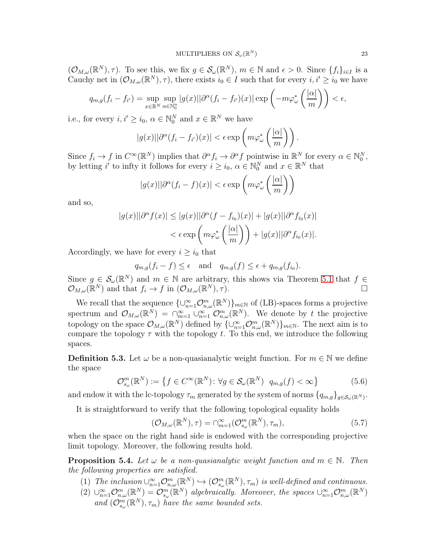$(\mathcal{O}_{M,\omega}(\mathbb{R}^N),\tau)$ . To see this, we fix  $g \in \mathcal{S}_{\omega}(\mathbb{R}^N)$ ,  $m \in \mathbb{N}$  and  $\epsilon > 0$ . Since  $\{f_i\}_{i \in I}$  is a Cauchy net in  $(\mathcal{O}_{M,\omega}(\mathbb{R}^N),\tau)$ , there exists  $i_0 \in I$  such that for every  $i, i' \geq i_0$  we have

$$
q_{m,g}(f_i - f_{i'}) = \sup_{x \in \mathbb{R}^N} \sup_{\alpha \in \mathbb{N}_0^n} |g(x)| |\partial^{\alpha} (f_i - f_{i'})(x)| \exp\left(-m\varphi_{\omega}^*\left(\frac{|\alpha|}{m}\right)\right) < \epsilon,
$$

i.e., for every  $i, i' \geq i_0, \alpha \in \mathbb{N}_0^N$  and  $x \in \mathbb{R}^N$  we have

$$
|g(x)||\partial^{\alpha}(f_i-f_{i'})(x)| < \epsilon \exp\left(m\varphi_{\omega}^*\left(\frac{|\alpha|}{m}\right)\right).
$$

Since  $f_i \to f$  in  $C^{\infty}(\mathbb{R}^N)$  implies that  $\partial^{\alpha} f_i \to \partial^{\alpha} f$  pointwise in  $\mathbb{R}^N$  for every  $\alpha \in \mathbb{N}_0^N$ , by letting i' to infty it follows for every  $i \geq i_0$ ,  $\alpha \in \mathbb{N}_0^N$  and  $x \in \mathbb{R}^N$  that

$$
|g(x)||\partial^{\alpha}(f_i - f)(x)| < \epsilon \exp\left(m\varphi_{\omega}^*\left(\frac{|\alpha|}{m}\right)\right)
$$

and so,

$$
|g(x)||\partial^{\alpha}f(x)| \le |g(x)||\partial^{\alpha}(f - f_{i_0})(x)| + |g(x)||\partial^{\alpha}f_{i_0}(x)|
$$
  

$$
< \epsilon \exp\left(m\varphi_{\omega}^*\left(\frac{|\alpha|}{m}\right)\right) + |g(x)||\partial^{\alpha}f_{i_0}(x)|.
$$

Accordingly, we have for every  $i \geq i_0$  that

$$
q_{m,g}(f_i - f) \le \epsilon
$$
 and  $q_{m,g}(f) \le \epsilon + q_{m,g}(f_{i_0}).$ 

Since  $g \in \mathcal{S}_{\omega}(\mathbb{R}^N)$  and  $m \in \mathbb{N}$  are arbitrary, this shows via Theorem [5.1](#page-20-0) that  $f \in$  $\mathcal{O}_{M,\omega}(\mathbb{R}^N)$  and that  $f_i \to f$  in  $(\mathcal{O}_{M,\omega})$  $N$ ),  $\tau$ ).

We recall that the sequence  $\{\cup_{n=1}^{\infty} \mathcal{O}_{n,\omega}^m(\mathbb{R}^N)\}_{m\in\mathbb{N}}$  of (LB)-spaces forms a projective spectrum and  $\mathcal{O}_{M,\omega}(\mathbb{R}^N) = \bigcap_{m=1}^{\infty} \bigcup_{n=1}^{\infty} \mathcal{O}_{n,\omega}^m(\mathbb{R}^N)$ . We denote by t the projective topology on the space  $\mathcal{O}_{M,\omega}(\mathbb{R}^N)$  defined by  $\{\cup_{n=1}^{\infty}\mathcal{O}_{n,\omega}^m(\mathbb{R}^N)\}_{m\in\mathbb{N}}$ . The next aim is to compare the topology  $\tau$  with the topology t. To this end, we introduce the following spaces.

**Definition 5.3.** Let  $\omega$  be a non-quasianalytic weight function. For  $m \in \mathbb{N}$  we define the space

$$
\mathcal{O}_{s_{\omega}}^{m}(\mathbb{R}^{N}) := \left\{ f \in C^{\infty}(\mathbb{R}^{N}) : \forall g \in \mathcal{S}_{\omega}(\mathbb{R}^{N}) \, q_{m,g}(f) < \infty \right\} \tag{5.6}
$$

and endow it with the lc-topology  $\tau_m$  generated by the system of norms  $\{q_{m,g}\}_{g\in\mathcal{S}_{\omega}(\mathbb{R}^N)}$ .

It is straightforward to verify that the following topological equality holds

$$
(\mathcal{O}_{M,\omega}(\mathbb{R}^N),\tau) = \bigcap_{m=1}^{\infty} (\mathcal{O}_{s_{\omega}}^m(\mathbb{R}^N),\tau_m),
$$
\n(5.7)

when the space on the right hand side is endowed with the corresponding projective limit topology. Moreover, the following results hold.

<span id="page-22-0"></span>**Proposition 5.4.** Let  $\omega$  be a non-quasianalytic weight function and  $m \in \mathbb{N}$ . Then the following properties are satisfied.

- (1) The inclusion  $\cup_{n=1}^{\infty} \mathcal{O}_{n,\omega}^m(\mathbb{R}^N) \hookrightarrow (\mathcal{O}_{s_\omega}^m(\mathbb{R}^N), \tau_m)$  is well-defined and continuous.
- (2)  $\cup_{n=1}^{\infty} \mathcal{O}_{n,\omega}^m(\mathbb{R}^N) = \mathcal{O}_{s_{\omega}}^m(\mathbb{R}^N)$  algebraically. Moreover, the spaces  $\cup_{n=1}^{\infty} \mathcal{O}_{n,\omega}^m(\mathbb{R}^N)$ and  $(\mathcal{O}_{s_{\omega}}^{m}(\mathbb{R}^{N}), \tau_{m})$  have the same bounded sets.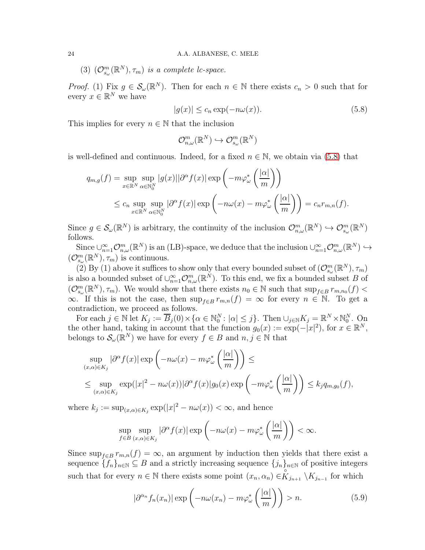(3)  $(\mathcal{O}_{s_{\omega}}^{m}(\mathbb{R}^{N}), \tau_{m})$  is a complete lc-space.

*Proof.* (1) Fix  $g \in S_\omega(\mathbb{R}^N)$ . Then for each  $n \in \mathbb{N}$  there exists  $c_n > 0$  such that for every  $x \in \mathbb{R}^N$  we have

<span id="page-23-0"></span>
$$
|g(x)| \le c_n \exp(-n\omega(x)).
$$
\n(5.8)

This implies for every  $n \in \mathbb{N}$  that the inclusion

$$
\mathcal{O}^m_{n,\omega}(\mathbb{R}^N) \hookrightarrow \mathcal{O}^m_{s_\omega}(\mathbb{R}^N)
$$

is well-defined and continuous. Indeed, for a fixed  $n \in \mathbb{N}$ , we obtain via [\(5.8\)](#page-23-0) that

$$
q_{m,g}(f) = \sup_{x \in \mathbb{R}^N} \sup_{\alpha \in \mathbb{N}_0^N} |g(x)| |\partial^{\alpha} f(x)| \exp\left(-m\varphi_{\omega}^*\left(\frac{|\alpha|}{m}\right)\right)
$$
  

$$
\leq c_n \sup_{x \in \mathbb{R}^N} \sup_{\alpha \in \mathbb{N}_0^N} |\partial^{\alpha} f(x)| \exp\left(-n\omega(x) - m\varphi_{\omega}^*\left(\frac{|\alpha|}{m}\right)\right) = c_n r_{m,n}(f).
$$

Since  $g \in \mathcal{S}_{\omega}(\mathbb{R}^N)$  is arbitrary, the continuity of the inclusion  $\mathcal{O}_{n,\omega}^m(\mathbb{R}^N) \hookrightarrow \mathcal{O}_{s_{\omega}}^m(\mathbb{R}^N)$ follows.

Since  $\cup_{n=1}^{\infty} \mathcal{O}_{n,\omega}^m(\mathbb{R}^N)$  is an (LB)-space, we deduce that the inclusion  $\cup_{n=1}^{\infty} \mathcal{O}_{n,\omega}^m(\mathbb{R}^N) \hookrightarrow$  $(\mathcal{O}_{s_{\omega}}^{m}(\mathbb{R}^{N}), \tau_{m})$  is continuous.

(2) By (1) above it suffices to show only that every bounded subset of  $(\mathcal{O}_{s_{\omega}}^m(\mathbb{R}^N), \tau_m)$ is also a bounded subset of  $\cup_{n=1}^{\infty} \mathcal{O}_{n,\omega}^m(\mathbb{R}^N)$ . To this end, we fix a bounded subset B of  $(\mathcal{O}_{s_{\omega}}^m(\mathbb{R}^N), \tau_m)$ . We would show that there exists  $n_0 \in \mathbb{N}$  such that  $\sup_{f \in B} r_{m,n_0}(f)$  <  $\infty$ . If this is not the case, then sup<sub>f∈B</sub>  $r_{m,n}(f) = \infty$  for every  $n \in \mathbb{N}$ . To get a contradiction, we proceed as follows.

For each  $j \in \mathbb{N}$  let  $K_j := \overline{B}_j(0) \times \{\alpha \in \mathbb{N}_0^N : |\alpha| \leq j\}$ . Then  $\cup_{j \in \mathbb{N}} K_j = \mathbb{R}^N \times \mathbb{N}_0^N$ . On the other hand, taking in account that the function  $g_0(x) := \exp(-|x|^2)$ , for  $x \in \mathbb{R}^N$ , belongs to  $\mathcal{S}_{\omega}(\mathbb{R}^N)$  we have for every  $f \in B$  and  $n, j \in \mathbb{N}$  that

$$
\sup_{(x,\alpha)\in K_j} |\partial^{\alpha} f(x)| \exp\left(-n\omega(x) - m\varphi_{\omega}^*\left(\frac{|\alpha|}{m}\right)\right) \le
$$
  

$$
\leq \sup_{(x,\alpha)\in K_j} \exp(|x|^2 - n\omega(x)) |\partial^{\alpha} f(x)| g_0(x) \exp\left(-m\varphi_{\omega}^*\left(\frac{|\alpha|}{m}\right)\right) \leq k_j q_{m,g_0}(f),
$$

where  $k_j := \sup_{(x,\alpha)\in K_j} \exp(|x|^2 - n\omega(x)) < \infty$ , and hence

$$
\sup_{f\in B} \sup_{(x,\alpha)\in K_j} |\partial^{\alpha} f(x)| \exp\left(-n\omega(x) - m\varphi^*_{\omega}\left(\frac{|\alpha|}{m}\right)\right) < \infty.
$$

Since sup<sub>f∈B</sub>  $r_{m,n}(f) = \infty$ , an argument by induction then yields that there exist a sequence  $\{f_n\}_{n\in\mathbb{N}}\subseteq B$  and a strictly increasing sequence  $\{j_n\}_{n\in\mathbb{N}}$  of positive integers such that for every  $n \in \mathbb{N}$  there exists some point  $(x_n, \alpha_n) \in \mathbb{R}_{j_{n+1}} \setminus K_{j_{n-1}}$  for which

<span id="page-23-1"></span>
$$
|\partial^{\alpha_n} f_n(x_n)| \exp\left(-n\omega(x_n) - m\varphi^*_{\omega}\left(\frac{|\alpha|}{m}\right)\right) > n. \tag{5.9}
$$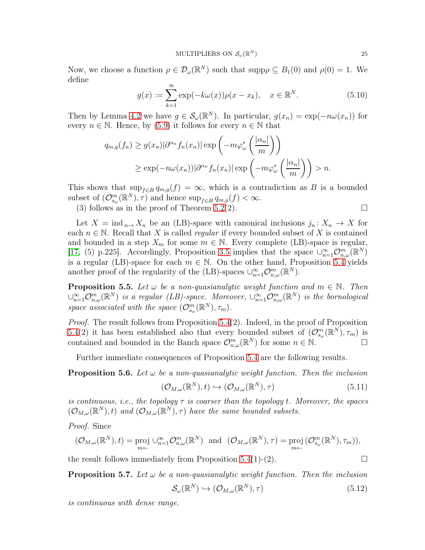Now, we choose a function  $\rho \in \mathcal{D}_{\omega}(\mathbb{R}^N)$  such that  $\text{supp}\rho \subseteq B_1(0)$  and  $\rho(0) = 1$ . We define

$$
g(x) := \sum_{k=1}^{\infty} \exp(-k\omega(x))\rho(x - x_k), \quad x \in \mathbb{R}^N.
$$
 (5.10)

Then by Lemma [4.2](#page-15-0) we have  $g \in \mathcal{S}_{\omega}(\mathbb{R}^N)$ . In particular,  $g(x_n) = \exp(-n\omega(x_n))$  for every  $n \in \mathbb{N}$ . Hence, by [\(5.9\)](#page-23-1) it follows for every  $n \in \mathbb{N}$  that

$$
q_{m,g}(f_n) \ge g(x_n) |\partial^{\alpha_n} f_n(x_n)| \exp\left(-m\varphi_{\omega}^*\left(\frac{|\alpha_n|}{m}\right)\right)
$$
  
 
$$
\ge \exp(-n\omega(x_n)) |\partial^{\alpha_n} f_n(x_n)| \exp\left(-m\varphi_{\omega}^*\left(\frac{|\alpha_n|}{m}\right)\right) > n.
$$

This shows that  $\sup_{f\in B} q_{m,g}(f) = \infty$ , which is a contradiction as B is a bounded subset of  $(\mathcal{O}_{s_{\omega}}^m(\mathbb{R}^N), \tau)$  and hence  $\sup_{f \in B} q_{m,g}(f) < \infty$ .

(3) follows as in the proof of Theorem [5.2\(](#page-21-2)2).  $\square$ 

Let  $X = \text{ind}_{n \to X_n}$  be an (LB)-space with canonical inclusions  $j_n: X_n \to X$  for each  $n \in \mathbb{N}$ . Recall that X is called *regular* if every bounded subset of X is contained and bounded in a step  $X_m$  for some  $m \in \mathbb{N}$ . Every complete (LB)-space is regular, [\[17,](#page-30-18) (5) p.225]. Accordingly, Proposition [3.5](#page-8-0) implies that the space  $\bigcup_{n=1}^{\infty} \mathcal{O}_{n,\omega}^m(\mathbb{R}^N)$ is a regular (LB)-space for each  $m \in \mathbb{N}$ . On the other hand, Proposition [5.4](#page-22-0) yields another proof of the regularity of the (LB)-spaces  $\cup_{n=1}^{\infty} \mathcal{O}_{n,\omega}^m(\mathbb{R}^N)$ .

**Proposition 5.5.** Let  $\omega$  be a non-quasianalytic weight function and  $m \in \mathbb{N}$ . Then  $\cup_{n=1}^{\infty} \mathcal{O}_{n,\omega}^m(\mathbb{R}^N)$  is a regular (LB)-space. Moreover,  $\cup_{n=1}^{\infty} \mathcal{O}_{n,\omega}^m(\mathbb{R}^N)$  is the bornological space associated with the space  $(\mathcal{O}_{s_{\omega}}^m(\mathbb{R}^N), \tau_m)$ .

Proof. The result follows from Proposition [5.4\(](#page-22-0)2). Indeed, in the proof of Proposition [5.4\(](#page-22-0)2) it has been established also that every bounded subset of  $(\mathcal{O}_{s_{\omega}}^m(\mathbb{R}^N), \tau_m)$  is contained and bounded in the Banch space  $\mathcal{O}_{n,\omega}^m(\mathbb{R}^N)$  for some  $n \in \mathbb{N}$ .

Further immediate consequences of Proposition [5.4](#page-22-0) are the following results.

<span id="page-24-0"></span>**Proposition 5.6.** Let  $\omega$  be a non-quasianalytic weight function. Then the inclusion

$$
(\mathcal{O}_{M,\omega}(\mathbb{R}^N),t) \hookrightarrow (\mathcal{O}_{M,\omega}(\mathbb{R}^N),\tau)
$$
\n(5.11)

is continuous, i.e., the topology  $\tau$  is coarser than the topology t. Moreover, the spaces  $(\mathcal{O}_{M,\omega}(\mathbb{R}^N),t)$  and  $(\mathcal{O}_{M,\omega}(\mathbb{R}^N),\tau)$  have the same bounded subsets.

Proof. Since

$$
(\mathcal{O}_{M,\omega}(\mathbb{R}^N),t)=\text{proj }\cup_{n=1}^{\infty}\mathcal{O}_{n,\omega}^m(\mathbb{R}^N) \text{ and } (\mathcal{O}_{M,\omega}(\mathbb{R}^N),\tau)=\text{proj }(\mathcal{O}_{s_{\omega}}^m(\mathbb{R}^N),\tau_m)),
$$

the result follows immediately from Proposition [5.4\(](#page-22-0)1)-(2).

**Proposition 5.7.** Let  $\omega$  be a non-quasianalytic weight function. Then the inclusion

$$
\mathcal{S}_{\omega}(\mathbb{R}^N) \hookrightarrow (\mathcal{O}_{M,\omega}(\mathbb{R}^N), \tau) \tag{5.12}
$$

is continuous with dense range.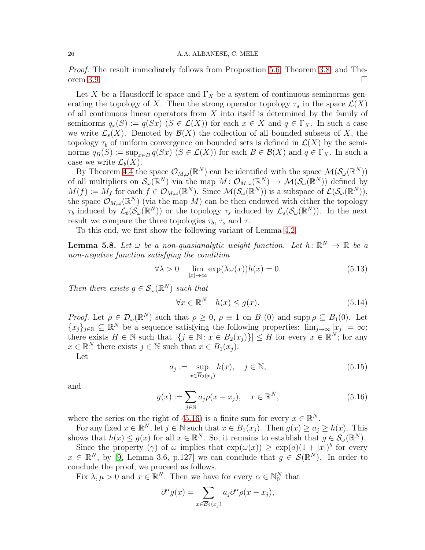## 26 A.A. ALBANESE, C. MELE

Proof. The result immediately follows from Proposition [5](#page-24-0).6, Theorem [3](#page-10-1).8, and The-orem [3](#page-12-0).9.

Let X be a Hausdorff lc-space and  $\Gamma_X$  be a system of continuous seminorms generating the topology of X. Then the strong operator topology  $\tau_s$  in the space  $\mathcal{L}(X)$ of all continuous linear operators from  $X$  into itself is determined by the family of seminorms  $q_x(S) := q(Sx)$   $(S \in \mathcal{L}(X))$  for each  $x \in X$  and  $q \in \Gamma_X$ . In such a case we write  $\mathcal{L}_s(X)$ . Denoted by  $\mathcal{B}(X)$  the collection of all bounded subsets of X, the topology  $\tau_b$  of uniform convergence on bounded sets is defined in  $\mathcal{L}(X)$  by the seminorms  $q_B(S) := \sup_{x \in B} q(Sx)$   $(S \in \mathcal{L}(X))$  for each  $B \in \mathcal{B}(X)$  and  $q \in \Gamma_X$ . In such a case we write  $\mathcal{L}_b(X)$ .

By Theorem [4.4](#page-17-4) the space  $\mathcal{O}_{M,\omega}(\mathbb{R}^N)$  can be identified with the space  $\mathcal{M}(\mathcal{S}_{\omega}(\mathbb{R}^N))$ of all multipliers on  $\mathcal{S}_{\omega}(\mathbb{R}^N)$  via the map  $M: \mathcal{O}_{M,\omega}(\mathbb{R}^N) \to \mathcal{M}(\mathcal{S}_{\omega}(\mathbb{R}^N))$  defined by  $M(f) := M_f$  for each  $f \in \mathcal{O}_{M,\omega}(\mathbb{R}^N)$ . Since  $\mathcal{M}(\mathcal{S}_{\omega}(\mathbb{R}^N))$  is a subspace of  $\mathcal{L}(\mathcal{S}_{\omega}(\mathbb{R}^N))$ , the space  $\mathcal{O}_{M,\omega}(\mathbb{R}^N)$  (via the map M) can be then endowed with either the topology  $\tau_b$  induced by  $\mathcal{L}_b(\mathcal{S}_{\omega}(\mathbb{R}^N))$  or the topology  $\tau_s$  induced by  $\mathcal{L}_s(\mathcal{S}_{\omega}(\mathbb{R}^N))$ . In the next result we compare the three topologies  $\tau_b$ ,  $\tau_s$  and  $\tau$ .

To this end, we first show the following variant of Lemma [4.2.](#page-15-0)

<span id="page-25-2"></span>**Lemma 5.8.** Let  $\omega$  be a non-quasianalytic weight function. Let  $h: \mathbb{R}^N \to \mathbb{R}$  be a non-negative function satisfying the condition

<span id="page-25-1"></span>
$$
\forall \lambda > 0 \quad \lim_{|x| \to \infty} \exp(\lambda \omega(x)) h(x) = 0. \tag{5.13}
$$

Then there exists  $g \in \mathcal{S}_{\omega}(\mathbb{R}^N)$  such that

$$
\forall x \in \mathbb{R}^N \quad h(x) \le g(x). \tag{5.14}
$$

*Proof.* Let  $\rho \in \mathcal{D}_{\omega}(\mathbb{R}^N)$  such that  $\rho \geq 0$ ,  $\rho \equiv 1$  on  $B_1(0)$  and supp  $\rho \subseteq B_1(0)$ . Let  ${x_j}_{j \in \mathbb{N}} \subseteq \mathbb{R}^N$  be a sequence satisfying the following properties:  $\lim_{j\to\infty} |x_j| = \infty$ ; there exists  $H \in \mathbb{N}$  such that  $|\{j \in \mathbb{N} : x \in B_2(x_j)\}| \leq H$  for every  $x \in \mathbb{R}^N$ ; for any  $x \in \mathbb{R}^N$  there exists  $j \in \mathbb{N}$  such that  $x \in B_1(x_j)$ . Let

$$
a_j := \sup_{x \in \overline{B}_2(x_j)} h(x), \quad j \in \mathbb{N}, \tag{5.15}
$$

and

<span id="page-25-0"></span>
$$
g(x) := \sum_{j \in \mathbb{N}} a_j \rho(x - x_j), \quad x \in \mathbb{R}^N,
$$
\n
$$
(5.16)
$$

where the series on the right of [\(5.16\)](#page-25-0) is a finite sum for every  $x \in \mathbb{R}^N$ .

For any fixed  $x \in \mathbb{R}^N$ , let  $j \in \mathbb{N}$  such that  $x \in B_1(x_j)$ . Then  $g(x) \ge a_j \ge h(x)$ . This shows that  $h(x) \leq g(x)$  for all  $x \in \mathbb{R}^N$ . So, it remains to establish that  $g \in \mathcal{S}_{\omega}(\mathbb{R}^N)$ .

Since the property ( $\gamma$ ) of  $\omega$  implies that  $\exp(\omega(x)) \geq \exp(a)(1+|x|)^b$  for every  $x \in \mathbb{R}^N$ , by [\[9,](#page-30-19) Lemma 3.6, p.127] we can conclude that  $g \in \mathcal{S}(\mathbb{R}^N)$ . In order to conclude the proof, we proceed as follows.

Fix  $\lambda, \mu > 0$  and  $x \in \mathbb{R}^N$ . Then we have for every  $\alpha \in \mathbb{N}_0^N$  that

$$
\partial^{\alpha} g(x) = \sum_{x \in \overline{B}_2(x_j)} a_j \partial^{\alpha} \rho(x - x_j),
$$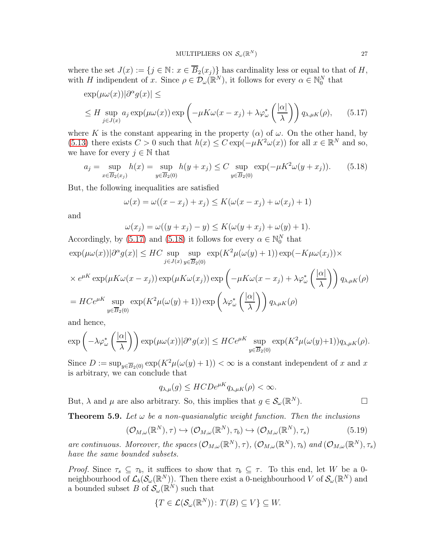where the set  $J(x) := \{j \in \mathbb{N} : x \in \overline{B}_2(x_j)\}\$  has cardinality less or equal to that of H, with H indipendent of x. Since  $\rho \in \mathcal{D}_{\omega}(\mathbb{R}^N)$ , it follows for every  $\alpha \in \mathbb{N}_0^N$  that

$$
\exp(\mu \omega(x))|\partial^{\alpha} g(x)| \le
$$
  
 
$$
\leq H \sup_{j \in J(x)} a_j \exp(\mu \omega(x)) \exp\left(-\mu K \omega(x - x_j) + \lambda \varphi_{\omega}^* \left(\frac{|\alpha|}{\lambda}\right)\right) q_{\lambda, \mu K}(\rho), \qquad (5.17)
$$

where K is the constant appearing in the property  $(\alpha)$  of  $\omega$ . On the other hand, by [\(5.13\)](#page-25-1) there exists  $C > 0$  such that  $h(x) \leq C \exp(-\mu K^2 \omega(x))$  for all  $x \in \mathbb{R}^N$  and so, we have for every  $j \in \mathbb{N}$  that

<span id="page-26-1"></span>
$$
a_j = \sup_{x \in \overline{B}_2(x_j)} h(x) = \sup_{y \in \overline{B}_2(0)} h(y + x_j) \le C \sup_{y \in \overline{B}_2(0)} \exp(-\mu K^2 \omega (y + x_j)).
$$
 (5.18)

But, the following inequalities are satisfied

<span id="page-26-0"></span>
$$
\omega(x) = \omega((x - x_j) + x_j) \le K(\omega(x - x_j) + \omega(x_j) + 1)
$$

and

$$
\omega(x_j) = \omega((y+x_j) - y) \le K(\omega(y+x_j) + \omega(y) + 1).
$$

Accordingly, by [\(5.17\)](#page-26-0) and [\(5.18\)](#page-26-1) it follows for every  $\alpha \in \mathbb{N}_0^N$  that

$$
\exp(\mu \omega(x))|\partial^{\alpha} g(x)| \leq HC \sup_{j \in J(x)} \sup_{y \in \overline{B}_2(0)} \exp(K^2 \mu(\omega(y) + 1)) \exp(-K \mu \omega(x_j)) \times
$$
  

$$
\times e^{\mu K} \exp(\mu K \omega(x - x_j)) \exp(\mu K \omega(x_j)) \exp\left(-\mu K \omega(x - x_j) + \lambda \varphi_{\omega}^* \left(\frac{|\alpha|}{\lambda}\right)\right) q_{\lambda, \mu K}(\rho)
$$
  

$$
= HC e^{\mu K} \sup_{y \in \overline{B}_2(0)} \exp(K^2 \mu(\omega(y) + 1)) \exp\left(\lambda \varphi_{\omega}^* \left(\frac{|\alpha|}{\lambda}\right)\right) q_{\lambda, \mu K}(\rho)
$$

and hence,

$$
\exp\left(-\lambda \varphi_{\omega}^*\left(\frac{|\alpha|}{\lambda}\right)\right) \exp(\mu \omega(x))|\partial^{\alpha}g(x)| \leq HCe^{\mu K} \sup_{y \in \overline{B}_2(0)} \exp(K^2 \mu(\omega(y)+1)) q_{\lambda,\mu K}(\rho).
$$

Since  $D := \sup_{y \in \overline{B}_2(0)} \exp(K^2 \mu(\omega(y) + 1)) < \infty$  is a constant independent of x and x is arbitrary, we can conclude that

$$
q_{\lambda,\mu}(g) \leq HCDe^{\mu K}q_{\lambda,\mu K}(\rho) < \infty.
$$

But,  $\lambda$  and  $\mu$  are also arbitrary. So, this implies that  $g \in \mathcal{S}_{\omega}(\mathbb{R}^N)$ .

**Theorem 5.9.** Let  $\omega$  be a non-quasianalytic weight function. Then the inclusions

$$
(\mathcal{O}_{M,\omega}(\mathbb{R}^N),\tau) \hookrightarrow (\mathcal{O}_{M,\omega}(\mathbb{R}^N),\tau_b) \hookrightarrow (\mathcal{O}_{M,\omega}(\mathbb{R}^N),\tau_s)
$$
(5.19)

are continuous. Moreover, the spaces  $(\mathcal{O}_{M,\omega}(\mathbb{R}^N),\tau)$ ,  $(\mathcal{O}_{M,\omega}(\mathbb{R}^N),\tau_b)$  and  $(\mathcal{O}_{M,\omega}(\mathbb{R}^N),\tau_s)$ have the same bounded subsets.

Proof. Since  $\tau_s \subseteq \tau_b$ , it suffices to show that  $\tau_b \subseteq \tau$ . To this end, let W be a 0neighbourhood of  $\mathcal{L}_b(\mathcal{S}_\omega(\mathbb{R}^N))$ . Then there exist a 0-neighbourhood V of  $\mathcal{S}_\omega(\mathbb{R}^N)$  and a bounded subset B of  $\mathcal{S}_{\omega}(\mathbb{R}^N)$  such that

$$
\{T \in \mathcal{L}(\mathcal{S}_{\omega}(\mathbb{R}^N)) \colon T(B) \subseteq V\} \subseteq W.
$$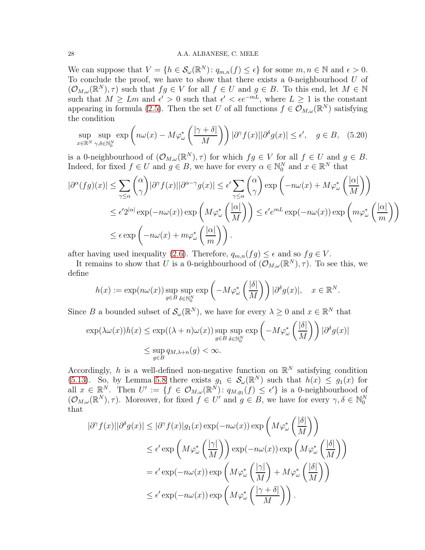### 28 A.A. ALBANESE, C. MELE

We can suppose that  $V = \{h \in \mathcal{S}_{\omega}(\mathbb{R}^N) : q_{m,n}(f) \leq \epsilon\}$  for some  $m, n \in \mathbb{N}$  and  $\epsilon > 0$ . To conclude the proof, we have to show that there exists a 0-neighbourhood  $U$  of  $(\mathcal{O}_{M,\omega}(\mathbb{R}^N),\tau)$  such that  $fg\in V$  for all  $f\in U$  and  $g\in B$ . To this end, let  $M\in\mathbb{N}$ such that  $M \geq Lm$  and  $\epsilon' > 0$  such that  $\epsilon' < \epsilon e^{-mL}$ , where  $L \geq 1$  is the constant appearing in formula [\(2.5\)](#page-2-3). Then the set U of all functions  $f \in \mathcal{O}_{M,\omega}(\mathbb{R}^N)$  satisfying the condition

$$
\sup_{x \in \mathbb{R}^N} \sup_{\gamma, \delta \in \mathbb{N}_0^N} \exp\left(n\omega(x) - M\varphi^*_{\omega}\left(\frac{|\gamma + \delta|}{M}\right)\right) |\partial^{\gamma} f(x)| |\partial^{\delta} g(x)| \le \epsilon', \quad g \in B, \quad (5.20)
$$

is a 0-neighbourhood of  $(\mathcal{O}_{M,\omega}(\mathbb{R}^N),\tau)$  for which  $fg \in V$  for all  $f \in U$  and  $g \in B$ . Indeed, for fixed  $f \in U$  and  $g \in B$ , we have for every  $\alpha \in \mathbb{N}_0^N$  and  $x \in \mathbb{R}^N$  that

$$
\left|\partial^{\alpha}(fg)(x)\right| \leq \sum_{\gamma \leq \alpha} {\alpha \choose \gamma} |\partial^{\gamma}f(x)||\partial^{\alpha-\gamma}g(x)| \leq \epsilon' \sum_{\gamma \leq \alpha} {\alpha \choose \gamma} \exp\left(-n\omega(x) + M\varphi_{\omega}^*\left(\frac{|\alpha|}{M}\right)\right)
$$
  

$$
\leq \epsilon' 2^{|\alpha|} \exp(-n\omega(x)) \exp\left(M\varphi_{\omega}^*\left(\frac{|\alpha|}{M}\right)\right) \leq \epsilon' e^{mL} \exp(-n\omega(x)) \exp\left(m\varphi_{\omega}^*\left(\frac{|\alpha|}{m}\right)\right)
$$
  

$$
\leq \epsilon \exp\left(-n\omega(x) + m\varphi_{\omega}^*\left(\frac{|\alpha|}{m}\right)\right).
$$

after having used inequality [\(2.6\)](#page-2-2). Therefore,  $q_{m,n}(fg) \leq \epsilon$  and so  $fg \in V$ .

It remains to show that U is a 0-neighbourhood of  $(\mathcal{O}_{M,\omega}(\mathbb{R}^N),\tau)$ . To see this, we define

$$
h(x) := \exp(n\omega(x)) \sup_{g \in B} \sup_{\delta \in \mathbb{N}_0^N} \exp\left(-M\varphi^*_{\omega}\left(\frac{|\delta|}{M}\right)\right) |\partial^{\delta} g(x)|, \quad x \in \mathbb{R}^N.
$$

Since B a bounded subset of  $\mathcal{S}_{\omega}(\mathbb{R}^N)$ , we have for every  $\lambda \geq 0$  and  $x \in \mathbb{R}^N$  that

$$
\exp(\lambda \omega(x))h(x) \le \exp((\lambda + n)\omega(x)) \sup_{g \in B} \sup_{\delta \in \mathbb{N}_0^N} \exp\left(-M\varphi^*_{\omega}\left(\frac{|\delta|}{M}\right)\right) |\partial^{\delta} g(x)|
$$
  

$$
\le \sup_{g \in B} q_{M,\lambda+n}(g) < \infty.
$$

Accordingly, h is a well-defined non-negative function on  $\mathbb{R}^N$  satisfying condition [\(5.13\)](#page-25-1). So, by Lemma [5.8](#page-25-2) there exists  $g_1 \in S_\omega(\mathbb{R}^N)$  such that  $h(x) \leq g_1(x)$  for all  $x \in \mathbb{R}^N$ . Then  $U' := \{f \in \mathcal{O}_{M,\omega}(\mathbb{R}^N) : q_{M,g_1}(f) \leq \epsilon'\}$  is a 0-neighbourhood of  $(\mathcal{O}_{M,\omega}(\mathbb{R}^N),\tau)$ . Moreover, for fixed  $f \in U'$  and  $g \in B$ , we have for every  $\gamma, \delta \in \mathbb{N}_0^N$ that

$$
|\partial^{\gamma} f(x)||\partial^{\delta} g(x)| \leq |\partial^{\gamma} f(x)|g_1(x) \exp(-n\omega(x)) \exp\left(M\varphi_{\omega}^*\left(\frac{|\delta|}{M}\right)\right)
$$
  

$$
\leq \epsilon' \exp\left(M\varphi_{\omega}^*\left(\frac{|\gamma|}{M}\right)\right) \exp(-n\omega(x)) \exp\left(M\varphi_{\omega}^*\left(\frac{|\delta|}{M}\right)\right)
$$
  

$$
= \epsilon' \exp(-n\omega(x)) \exp\left(M\varphi_{\omega}^*\left(\frac{|\gamma|}{M}\right) + M\varphi_{\omega}^*\left(\frac{|\delta|}{M}\right)\right)
$$
  

$$
\leq \epsilon' \exp(-n\omega(x)) \exp\left(M\varphi_{\omega}^*\left(\frac{|\gamma+\delta|}{M}\right)\right).
$$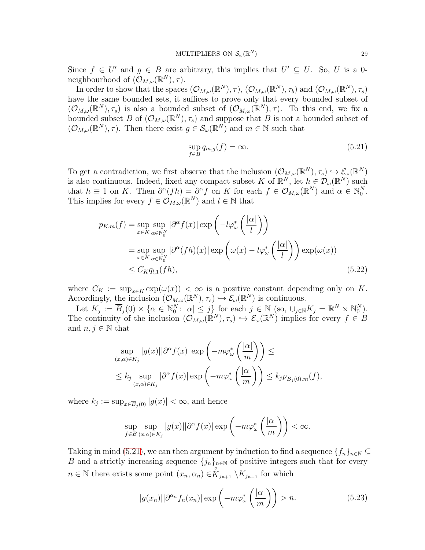Since  $f \in U'$  and  $g \in B$  are arbitrary, this implies that  $U' \subseteq U$ . So, U is a 0neighbourhood of  $(\mathcal{O}_{M,\omega}(\mathbb{R}^N),\tau)$ .

In order to show that the spaces  $(\mathcal{O}_{M,\omega}(\mathbb{R}^N),\tau), (\mathcal{O}_{M,\omega}(\mathbb{R}^N),\tau_b)$  and  $(\mathcal{O}_{M,\omega}(\mathbb{R}^N),\tau_s)$ have the same bounded sets, it suffices to prove only that every bounded subset of  $(\mathcal{O}_{M,\omega}(\mathbb{R}^N),\tau_s)$  is also a bounded subset of  $(\mathcal{O}_{M,\omega}(\mathbb{R}^N),\tau)$ . To this end, we fix a bounded subset B of  $(\mathcal{O}_{M,\omega}(\mathbb{R}^N),\tau_s)$  and suppose that B is not a bounded subset of  $(\mathcal{O}_{M,\omega}(\mathbb{R}^N),\tau)$ . Then there exist  $g \in \mathcal{S}_{\omega}(\mathbb{R}^N)$  and  $m \in \mathbb{N}$  such that

<span id="page-28-0"></span>
$$
\sup_{f \in B} q_{m,g}(f) = \infty. \tag{5.21}
$$

To get a contradiction, we first observe that the inclusion  $(\mathcal{O}_{M,\omega}(\mathbb{R}^N),\tau_s) \hookrightarrow \mathcal{E}_{\omega}(\mathbb{R}^N)$ is also continuous. Indeed, fixed any compact subset K of  $\mathbb{R}^N$ , let  $h \in \mathcal{D}_{\omega}(\mathbb{R}^N)$  such that  $h \equiv 1$  on K. Then  $\partial^{\alpha}(fh) = \partial^{\alpha}f$  on K for each  $f \in \mathcal{O}_{M,\omega}(\mathbb{R}^N)$  and  $\alpha \in \mathbb{N}_0^N$ . This implies for every  $f \in \mathcal{O}_{M,\omega}(\mathbb{R}^N)$  and  $l \in \mathbb{N}$  that

$$
p_{K,m}(f) = \sup_{x \in K} \sup_{\alpha \in \mathbb{N}_0^N} |\partial^{\alpha} f(x)| \exp\left(-l\varphi_{\omega}^* \left(\frac{|\alpha|}{l}\right)\right)
$$
  
= 
$$
\sup_{x \in K} \sup_{\alpha \in \mathbb{N}_0^N} |\partial^{\alpha} (fh)(x)| \exp\left(\omega(x) - l\varphi_{\omega}^* \left(\frac{|\alpha|}{l}\right)\right) \exp(\omega(x))
$$
  
\$\leq C\_K q\_{l,1}(fh), \qquad (5.22)\$

where  $C_K := \sup_{x \in K} \exp(\omega(x)) < \infty$  is a positive constant depending only on K. Accordingly, the inclusion  $(\mathcal{O}_{M,\omega}(\mathbb{R}^N),\tau_s) \hookrightarrow \mathcal{E}_{\omega}(\mathbb{R}^N)$  is continuous.

Let  $K_j := \overline{B}_j(0) \times \{ \alpha \in \mathbb{N}_0^N : |\alpha| \leq j \}$  for each  $j \in \mathbb{N}$  (so,  $\cup_{j \in \mathbb{N}} K_j = \mathbb{R}^N \times \mathbb{N}_0^N$ ). The continuity of the inclusion  $(\mathcal{O}_{M,\omega}(\mathbb{R}^N),\tau_s) \hookrightarrow \mathcal{E}_{\omega}(\mathbb{R}^N)$  implies for every  $f \in B$ and  $n, j \in \mathbb{N}$  that

$$
\sup_{(x,\alpha)\in K_j} |g(x)||\partial^{\alpha} f(x)| \exp\left(-m\varphi_{\omega}^*\left(\frac{|\alpha|}{m}\right)\right) \le
$$
  

$$
\leq k_j \sup_{(x,\alpha)\in K_j} |\partial^{\alpha} f(x)| \exp\left(-m\varphi_{\omega}^*\left(\frac{|\alpha|}{m}\right)\right) \leq k_j p_{\overline{B}_j(0),m}(f),
$$

where  $k_j := \sup_{x \in \overline{B}_j(0)} |g(x)| < \infty$ , and hence

$$
\sup_{f\in B} \sup_{(x,\alpha)\in K_j} |g(x)||\partial^{\alpha} f(x)| \exp\left(-m\varphi_{\omega}^*\left(\frac{|\alpha|}{m}\right)\right) < \infty.
$$

Taking in mind [\(5.21\)](#page-28-0), we can then argument by induction to find a sequence  $\{f_n\}_{n\in\mathbb{N}}\subseteq$ B and a strictly increasing sequence  ${j_n}_{n\in\mathbb{N}}$  of positive integers such that for every  $n \in \mathbb{N}$  there exists some point  $(x_n, \alpha_n) \in \overset{\circ}{K}_{j_{n+1}} \backslash K_{j_{n-1}}$  for which

<span id="page-28-1"></span>
$$
|g(x_n)||\partial^{\alpha_n} f_n(x_n)| \exp\left(-m\varphi^*_{\omega}\left(\frac{|\alpha|}{m}\right)\right) > n. \tag{5.23}
$$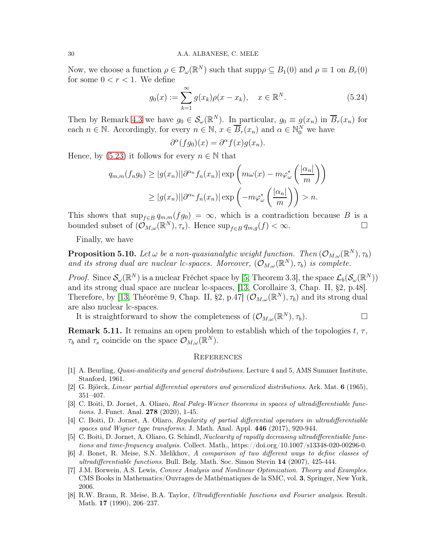Now, we choose a function  $\rho \in \mathcal{D}_{\omega}(\mathbb{R}^N)$  such that  $\text{supp}\rho \subseteq B_1(0)$  and  $\rho \equiv 1$  on  $B_r(0)$ for some  $0 < r < 1$ . We define

$$
g_0(x) := \sum_{k=1}^{\infty} g(x_k) \rho(x - x_k), \quad x \in \mathbb{R}^N.
$$
 (5.24)

Then by Remark [4.3](#page-16-2) we have  $g_0 \in \mathcal{S}_{\omega}(\mathbb{R}^N)$ . In particular,  $g_0 \equiv g(x_n)$  in  $\overline{B}_r(x_n)$  for each  $n \in \mathbb{N}$ . Accordingly, for every  $n \in \mathbb{N}$ ,  $x \in \overline{B}_r(x_n)$  and  $\alpha \in \mathbb{N}_0^N$  we have

$$
\partial^{\alpha}(fg_0)(x) = \partial^{\alpha}f(x)g(x_n).
$$

Hence, by [\(5.23\)](#page-28-1) it follows for every  $n \in \mathbb{N}$  that

$$
q_{m,m}(f_n g_0) \ge |g(x_n)||\partial^{\alpha_n} f_n(x_n)| \exp\left(m\omega(x) - m\varphi_{\omega}^*\left(\frac{|\alpha_n|}{m}\right)\right)
$$

$$
\ge |g(x_n)||\partial^{\alpha_n} f_n(x_n)| \exp\left(-m\varphi_{\omega}^*\left(\frac{|\alpha_n|}{m}\right)\right) > n.
$$

This shows that  $\sup_{f\in B} q_{m,m}(fg_0) = \infty$ , which is a contradiction because B is a bounded subset of  $(\mathcal{O}_{M,\omega}(\mathbb{R}^N),\tau_s)$ . Hence  $\sup_{f\in B} q_{m,g}(f) < \infty$ .

Finally, we have

**Proposition 5.10.** Let  $\omega$  be a non-quasianalytic weight function. Then  $(\mathcal{O}_{M,\omega}(\mathbb{R}^N),\tau_b)$ and its strong dual are nuclear lc-spaces. Moreover,  $(\mathcal{O}_{M,\omega}(\mathbb{R}^N),\tau_b)$  is complete.

*Proof.* Since  $\mathcal{S}_{\omega}(\mathbb{R}^N)$  is a nuclear Fréchet space by [\[5,](#page-29-5) Theorem 3.3], the space  $\mathcal{L}_b(\mathcal{S}_{\omega}(\mathbb{R}^N))$ and its strong dual space are nuclear lc-spaces, [\[13,](#page-30-0) Corollaire 3, Chap. II, §2, p.48]. Therefore, by [\[13,](#page-30-0) Théorème 9, Chap. II, §2, p.47]  $(\mathcal{O}_{M,\omega}(\mathbb{R}^N),\tau_b)$  and its strong dual are also nuclear lc-spaces.

It is straightforward to show the completeness of  $(\mathcal{O}_{M,\omega}(\mathbb{R}^N),\tau_b)$ .

**Remark 5.11.** It remains an open problem to establish which of the topologies t,  $\tau$ ,  $\tau_b$  and  $\tau_s$  coincide on the space  $\mathcal{O}_{M,\omega}(\mathbb{R}^N)$ .

## **REFERENCES**

- <span id="page-29-0"></span>[1] A. Beurling, Quasi-analiticity and general distributions. Lecture 4 and 5, AMS Summer Institute, Stanford, 1961.
- <span id="page-29-3"></span><span id="page-29-1"></span>[2] G. Björck, Linear partial differential operators and generalized distributions. Ark. Mat. 6 (1965), 351–407.
- [3] C. Boiti, D. Jornet, A. Oliaro, Real Paley-Wiener theorems in spaces of ultradifferentiable functions. J. Funct. Anal. 278 (2020), 1-45.
- <span id="page-29-4"></span>[4] C. Boiti, D. Jornet, A. Oliaro, Regularity of partial differential operators in ultradifferentiable spaces and Wigner type transforms. J. Math. Anal. Appl. 446 (2017), 920-944.
- <span id="page-29-5"></span>[5] C. Boiti, D. Jornet, A. Oliaro, G. Schindl, Nuclearity of rapidly decreasing ultradifferentiable functions and time-frequency analysis. Collect. Math., https://doi.org/10.1007/s13348-020-00296-0.
- <span id="page-29-2"></span>[6] J. Bonet, R. Meise, S.N. Melikhov, A comparison of two different ways to define classes of ultradifferentiable functions. Bull. Belg. Math. Soc. Simon Stevin 14 (2007), 425-444.
- <span id="page-29-7"></span>[7] J.M. Borwein, A.S. Lewis, Convex Analysis and Nonlinear Optimization. Theory and Examples. CMS Books in Mathematics/Ouvrages de Mathématiques de la SMC, vol. 3, Springer, New York, 2006.
- <span id="page-29-6"></span>[8] R.W. Braun, R. Meise, B.A. Taylor, Ultradifferentiable functions and Fourier analysis. Result. Math. **17** (1990), 206-237.